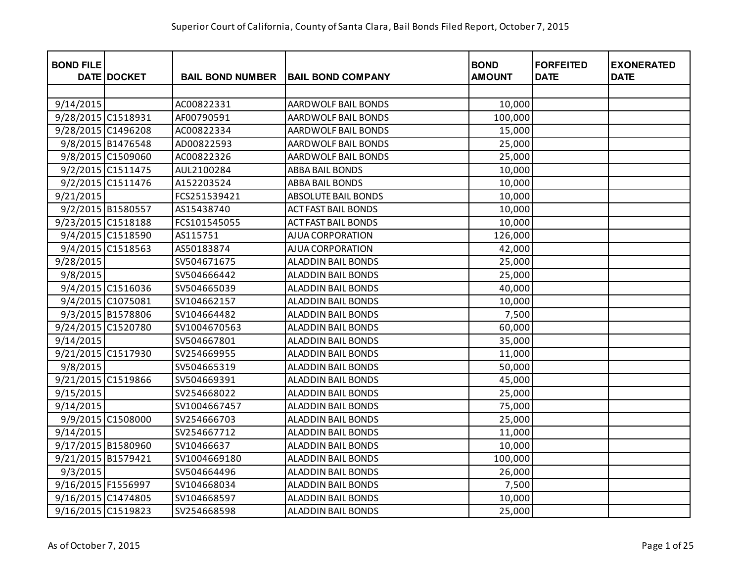| <b>BOND FILE</b>   | DATE DOCKET       | <b>BAIL BOND NUMBER</b> | <b>BAIL BOND COMPANY</b>   | <b>BOND</b><br><b>AMOUNT</b> | <b>FORFEITED</b><br><b>DATE</b> | <b>EXONERATED</b><br><b>DATE</b> |
|--------------------|-------------------|-------------------------|----------------------------|------------------------------|---------------------------------|----------------------------------|
|                    |                   |                         |                            |                              |                                 |                                  |
| 9/14/2015          |                   | AC00822331              | AARDWOLF BAIL BONDS        | 10,000                       |                                 |                                  |
| 9/28/2015 C1518931 |                   | AF00790591              | AARDWOLF BAIL BONDS        | 100,000                      |                                 |                                  |
| 9/28/2015 C1496208 |                   | AC00822334              | AARDWOLF BAIL BONDS        | 15,000                       |                                 |                                  |
|                    | 9/8/2015 B1476548 | AD00822593              | AARDWOLF BAIL BONDS        | 25,000                       |                                 |                                  |
|                    | 9/8/2015 C1509060 | AC00822326              | AARDWOLF BAIL BONDS        | 25,000                       |                                 |                                  |
|                    | 9/2/2015 C1511475 | AUL2100284              | <b>ABBA BAIL BONDS</b>     | 10,000                       |                                 |                                  |
|                    | 9/2/2015 C1511476 | A152203524              | ABBA BAIL BONDS            | 10,000                       |                                 |                                  |
| 9/21/2015          |                   | FCS251539421            | ABSOLUTE BAIL BONDS        | 10,000                       |                                 |                                  |
|                    | 9/2/2015 B1580557 | AS15438740              | <b>ACT FAST BAIL BONDS</b> | 10,000                       |                                 |                                  |
| 9/23/2015 C1518188 |                   | FCS101545055            | <b>ACT FAST BAIL BONDS</b> | 10,000                       |                                 |                                  |
|                    | 9/4/2015 C1518590 | AS115751                | AJUA CORPORATION           | 126,000                      |                                 |                                  |
|                    | 9/4/2015 C1518563 | AS50183874              | AJUA CORPORATION           | 42,000                       |                                 |                                  |
| 9/28/2015          |                   | SV504671675             | <b>ALADDIN BAIL BONDS</b>  | 25,000                       |                                 |                                  |
| 9/8/2015           |                   | SV504666442             | ALADDIN BAIL BONDS         | 25,000                       |                                 |                                  |
|                    | 9/4/2015 C1516036 | SV504665039             | <b>ALADDIN BAIL BONDS</b>  | 40,000                       |                                 |                                  |
|                    | 9/4/2015 C1075081 | SV104662157             | <b>ALADDIN BAIL BONDS</b>  | 10,000                       |                                 |                                  |
|                    | 9/3/2015 B1578806 | SV104664482             | ALADDIN BAIL BONDS         | 7,500                        |                                 |                                  |
| 9/24/2015 C1520780 |                   | SV1004670563            | <b>ALADDIN BAIL BONDS</b>  | 60,000                       |                                 |                                  |
| 9/14/2015          |                   | SV504667801             | <b>ALADDIN BAIL BONDS</b>  | 35,000                       |                                 |                                  |
| 9/21/2015 C1517930 |                   | SV254669955             | <b>ALADDIN BAIL BONDS</b>  | 11,000                       |                                 |                                  |
| 9/8/2015           |                   | SV504665319             | <b>ALADDIN BAIL BONDS</b>  | 50,000                       |                                 |                                  |
| 9/21/2015 C1519866 |                   | SV504669391             | <b>ALADDIN BAIL BONDS</b>  | 45,000                       |                                 |                                  |
| 9/15/2015          |                   | SV254668022             | <b>ALADDIN BAIL BONDS</b>  | 25,000                       |                                 |                                  |
| 9/14/2015          |                   | SV1004667457            | ALADDIN BAIL BONDS         | 75,000                       |                                 |                                  |
|                    | 9/9/2015 C1508000 | SV254666703             | <b>ALADDIN BAIL BONDS</b>  | 25,000                       |                                 |                                  |
| 9/14/2015          |                   | SV254667712             | <b>ALADDIN BAIL BONDS</b>  | 11,000                       |                                 |                                  |
| 9/17/2015 B1580960 |                   | SV10466637              | ALADDIN BAIL BONDS         | 10,000                       |                                 |                                  |
| 9/21/2015 B1579421 |                   | SV1004669180            | <b>ALADDIN BAIL BONDS</b>  | 100,000                      |                                 |                                  |
| 9/3/2015           |                   | SV504664496             | <b>ALADDIN BAIL BONDS</b>  | 26,000                       |                                 |                                  |
| 9/16/2015 F1556997 |                   | SV104668034             | <b>ALADDIN BAIL BONDS</b>  | 7,500                        |                                 |                                  |
| 9/16/2015 C1474805 |                   | SV104668597             | <b>ALADDIN BAIL BONDS</b>  | 10,000                       |                                 |                                  |
| 9/16/2015 C1519823 |                   | SV254668598             | <b>ALADDIN BAIL BONDS</b>  | 25,000                       |                                 |                                  |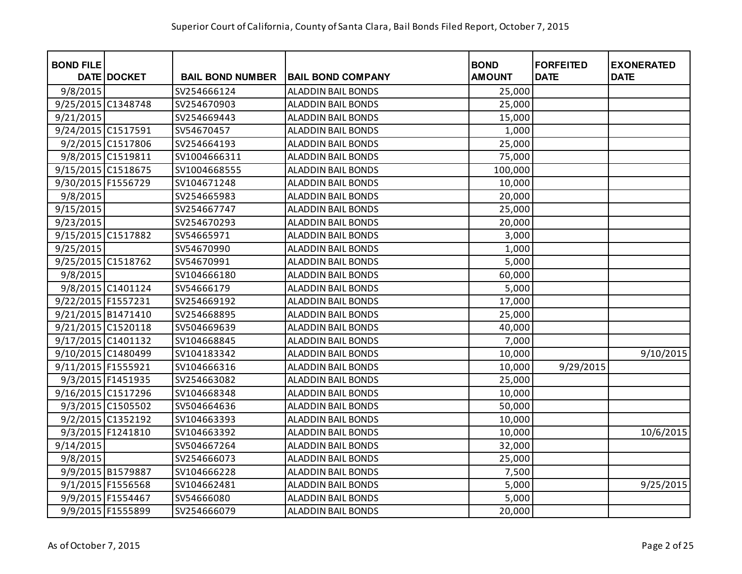| <b>BOND FILE</b>   | DATE DOCKET       | <b>BAIL BOND NUMBER</b> | <b>BAIL BOND COMPANY</b>  | <b>BOND</b><br><b>AMOUNT</b> | <b>FORFEITED</b><br><b>DATE</b> | <b>EXONERATED</b><br><b>DATE</b> |
|--------------------|-------------------|-------------------------|---------------------------|------------------------------|---------------------------------|----------------------------------|
| 9/8/2015           |                   | SV254666124             | <b>ALADDIN BAIL BONDS</b> | 25,000                       |                                 |                                  |
| 9/25/2015 C1348748 |                   | SV254670903             | <b>ALADDIN BAIL BONDS</b> | 25,000                       |                                 |                                  |
| 9/21/2015          |                   | SV254669443             | <b>ALADDIN BAIL BONDS</b> | 15,000                       |                                 |                                  |
| 9/24/2015 C1517591 |                   | SV54670457              | <b>ALADDIN BAIL BONDS</b> | 1,000                        |                                 |                                  |
|                    | 9/2/2015 C1517806 | SV254664193             | <b>ALADDIN BAIL BONDS</b> | 25,000                       |                                 |                                  |
|                    | 9/8/2015 C1519811 | SV1004666311            | ALADDIN BAIL BONDS        | 75,000                       |                                 |                                  |
| 9/15/2015 C1518675 |                   | SV1004668555            | ALADDIN BAIL BONDS        | 100,000                      |                                 |                                  |
| 9/30/2015 F1556729 |                   | SV104671248             | <b>ALADDIN BAIL BONDS</b> | 10,000                       |                                 |                                  |
| 9/8/2015           |                   | SV254665983             | ALADDIN BAIL BONDS        | 20,000                       |                                 |                                  |
| 9/15/2015          |                   | SV254667747             | ALADDIN BAIL BONDS        | 25,000                       |                                 |                                  |
| 9/23/2015          |                   | SV254670293             | <b>ALADDIN BAIL BONDS</b> | 20,000                       |                                 |                                  |
| 9/15/2015 C1517882 |                   | SV54665971              | ALADDIN BAIL BONDS        | 3,000                        |                                 |                                  |
| 9/25/2015          |                   | SV54670990              | <b>ALADDIN BAIL BONDS</b> | 1,000                        |                                 |                                  |
| 9/25/2015 C1518762 |                   | SV54670991              | ALADDIN BAIL BONDS        | 5,000                        |                                 |                                  |
| 9/8/2015           |                   | SV104666180             | <b>ALADDIN BAIL BONDS</b> | 60,000                       |                                 |                                  |
|                    | 9/8/2015 C1401124 | SV54666179              | <b>ALADDIN BAIL BONDS</b> | 5,000                        |                                 |                                  |
| 9/22/2015 F1557231 |                   | SV254669192             | <b>ALADDIN BAIL BONDS</b> | 17,000                       |                                 |                                  |
| 9/21/2015 B1471410 |                   | SV254668895             | <b>ALADDIN BAIL BONDS</b> | 25,000                       |                                 |                                  |
| 9/21/2015 C1520118 |                   | SV504669639             | <b>ALADDIN BAIL BONDS</b> | 40,000                       |                                 |                                  |
| 9/17/2015 C1401132 |                   | SV104668845             | <b>ALADDIN BAIL BONDS</b> | 7,000                        |                                 |                                  |
| 9/10/2015 C1480499 |                   | SV104183342             | <b>ALADDIN BAIL BONDS</b> | 10,000                       |                                 | 9/10/2015                        |
| 9/11/2015 F1555921 |                   | SV104666316             | <b>ALADDIN BAIL BONDS</b> | 10,000                       | 9/29/2015                       |                                  |
|                    | 9/3/2015 F1451935 | SV254663082             | <b>ALADDIN BAIL BONDS</b> | 25,000                       |                                 |                                  |
| 9/16/2015 C1517296 |                   | SV104668348             | ALADDIN BAIL BONDS        | 10,000                       |                                 |                                  |
|                    | 9/3/2015 C1505502 | SV504664636             | <b>ALADDIN BAIL BONDS</b> | 50,000                       |                                 |                                  |
|                    | 9/2/2015 C1352192 | SV104663393             | <b>ALADDIN BAIL BONDS</b> | 10,000                       |                                 |                                  |
|                    | 9/3/2015 F1241810 | SV104663392             | <b>ALADDIN BAIL BONDS</b> | 10,000                       |                                 | 10/6/2015                        |
| 9/14/2015          |                   | SV504667264             | <b>ALADDIN BAIL BONDS</b> | 32,000                       |                                 |                                  |
| 9/8/2015           |                   | SV254666073             | <b>ALADDIN BAIL BONDS</b> | 25,000                       |                                 |                                  |
|                    | 9/9/2015 B1579887 | SV104666228             | <b>ALADDIN BAIL BONDS</b> | 7,500                        |                                 |                                  |
|                    | 9/1/2015 F1556568 | SV104662481             | ALADDIN BAIL BONDS        | 5,000                        |                                 | 9/25/2015                        |
|                    | 9/9/2015 F1554467 | SV54666080              | <b>ALADDIN BAIL BONDS</b> | 5,000                        |                                 |                                  |
|                    | 9/9/2015 F1555899 | SV254666079             | <b>ALADDIN BAIL BONDS</b> | 20,000                       |                                 |                                  |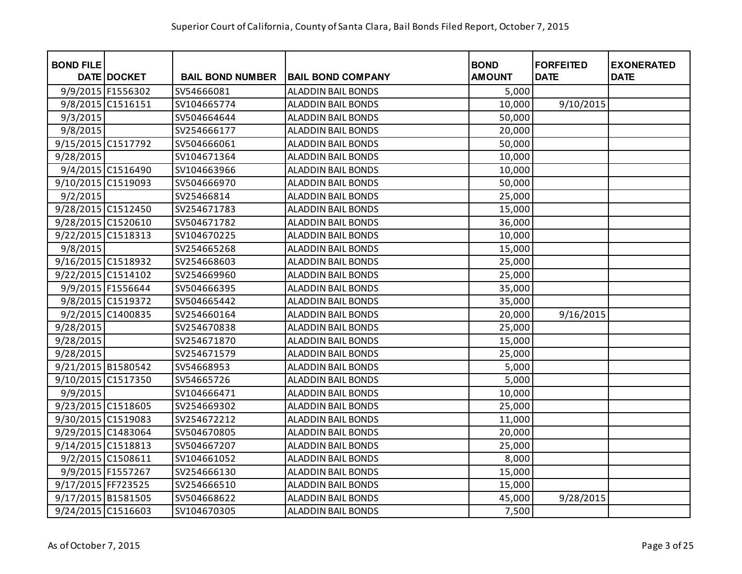| <b>BOND FILE</b>   | DATE DOCKET       | <b>BAIL BOND NUMBER</b> | <b>BAIL BOND COMPANY</b>  | <b>BOND</b><br><b>AMOUNT</b> | <b>FORFEITED</b><br><b>DATE</b> | <b>EXONERATED</b><br><b>DATE</b> |
|--------------------|-------------------|-------------------------|---------------------------|------------------------------|---------------------------------|----------------------------------|
|                    | 9/9/2015 F1556302 | SV54666081              | <b>ALADDIN BAIL BONDS</b> | 5,000                        |                                 |                                  |
|                    | 9/8/2015 C1516151 | SV104665774             | <b>ALADDIN BAIL BONDS</b> | 10,000                       | 9/10/2015                       |                                  |
| 9/3/2015           |                   | SV504664644             | <b>ALADDIN BAIL BONDS</b> | 50,000                       |                                 |                                  |
| 9/8/2015           |                   | SV254666177             | <b>ALADDIN BAIL BONDS</b> | 20,000                       |                                 |                                  |
| 9/15/2015 C1517792 |                   | SV504666061             | <b>ALADDIN BAIL BONDS</b> | 50,000                       |                                 |                                  |
| 9/28/2015          |                   | SV104671364             | <b>ALADDIN BAIL BONDS</b> | 10,000                       |                                 |                                  |
|                    | 9/4/2015 C1516490 | SV104663966             | <b>ALADDIN BAIL BONDS</b> | 10,000                       |                                 |                                  |
| 9/10/2015 C1519093 |                   | SV504666970             | <b>ALADDIN BAIL BONDS</b> | 50,000                       |                                 |                                  |
| 9/2/2015           |                   | SV25466814              | <b>ALADDIN BAIL BONDS</b> | 25,000                       |                                 |                                  |
| 9/28/2015 C1512450 |                   | SV254671783             | <b>ALADDIN BAIL BONDS</b> | 15,000                       |                                 |                                  |
| 9/28/2015 C1520610 |                   | SV504671782             | <b>ALADDIN BAIL BONDS</b> | 36,000                       |                                 |                                  |
| 9/22/2015 C1518313 |                   | SV104670225             | <b>ALADDIN BAIL BONDS</b> | 10,000                       |                                 |                                  |
| 9/8/2015           |                   | SV254665268             | <b>ALADDIN BAIL BONDS</b> | 15,000                       |                                 |                                  |
| 9/16/2015 C1518932 |                   | SV254668603             | <b>ALADDIN BAIL BONDS</b> | 25,000                       |                                 |                                  |
| 9/22/2015 C1514102 |                   | SV254669960             | <b>ALADDIN BAIL BONDS</b> | 25,000                       |                                 |                                  |
|                    | 9/9/2015 F1556644 | SV504666395             | ALADDIN BAIL BONDS        | 35,000                       |                                 |                                  |
|                    | 9/8/2015 C1519372 | SV504665442             | ALADDIN BAIL BONDS        | 35,000                       |                                 |                                  |
|                    | 9/2/2015 C1400835 | SV254660164             | ALADDIN BAIL BONDS        | 20,000                       | 9/16/2015                       |                                  |
| 9/28/2015          |                   | SV254670838             | ALADDIN BAIL BONDS        | 25,000                       |                                 |                                  |
| 9/28/2015          |                   | SV254671870             | <b>ALADDIN BAIL BONDS</b> | 15,000                       |                                 |                                  |
| 9/28/2015          |                   | SV254671579             | <b>ALADDIN BAIL BONDS</b> | 25,000                       |                                 |                                  |
| 9/21/2015 B1580542 |                   | SV54668953              | <b>ALADDIN BAIL BONDS</b> | 5,000                        |                                 |                                  |
| 9/10/2015 C1517350 |                   | SV54665726              | <b>ALADDIN BAIL BONDS</b> | 5,000                        |                                 |                                  |
| 9/9/2015           |                   | SV104666471             | <b>ALADDIN BAIL BONDS</b> | 10,000                       |                                 |                                  |
| 9/23/2015 C1518605 |                   | SV254669302             | <b>ALADDIN BAIL BONDS</b> | 25,000                       |                                 |                                  |
| 9/30/2015 C1519083 |                   | SV254672212             | <b>ALADDIN BAIL BONDS</b> | 11,000                       |                                 |                                  |
| 9/29/2015 C1483064 |                   | SV504670805             | <b>ALADDIN BAIL BONDS</b> | 20,000                       |                                 |                                  |
| 9/14/2015 C1518813 |                   | SV504667207             | <b>ALADDIN BAIL BONDS</b> | 25,000                       |                                 |                                  |
|                    | 9/2/2015 C1508611 | SV104661052             | <b>ALADDIN BAIL BONDS</b> | 8,000                        |                                 |                                  |
|                    | 9/9/2015 F1557267 | SV254666130             | <b>ALADDIN BAIL BONDS</b> | 15,000                       |                                 |                                  |
| 9/17/2015 FF723525 |                   | SV254666510             | <b>ALADDIN BAIL BONDS</b> | 15,000                       |                                 |                                  |
| 9/17/2015 B1581505 |                   | SV504668622             | <b>ALADDIN BAIL BONDS</b> | 45,000                       | 9/28/2015                       |                                  |
| 9/24/2015 C1516603 |                   | SV104670305             | <b>ALADDIN BAIL BONDS</b> | 7,500                        |                                 |                                  |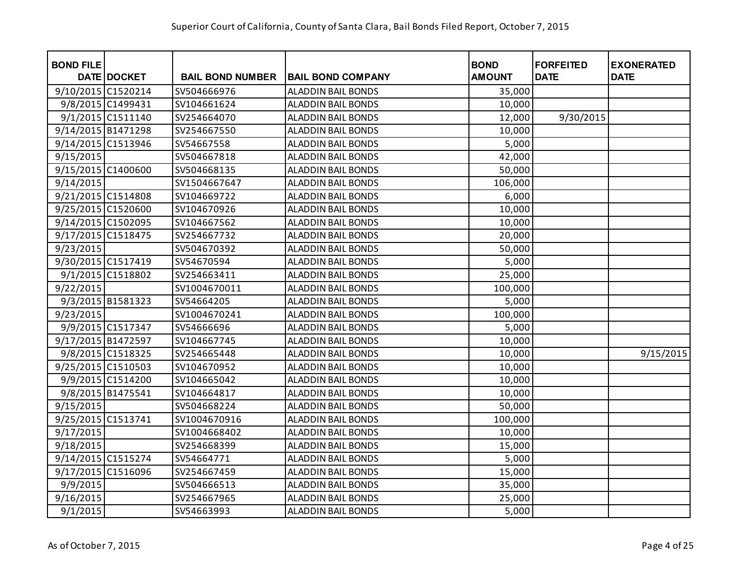| <b>BOND FILE</b>   | DATE DOCKET       | <b>BAIL BOND NUMBER</b> | <b>BAIL BOND COMPANY</b>  | <b>BOND</b><br><b>AMOUNT</b> | <b>FORFEITED</b><br><b>DATE</b> | <b>EXONERATED</b><br><b>DATE</b> |
|--------------------|-------------------|-------------------------|---------------------------|------------------------------|---------------------------------|----------------------------------|
| 9/10/2015 C1520214 |                   | SV504666976             | <b>ALADDIN BAIL BONDS</b> | 35,000                       |                                 |                                  |
|                    | 9/8/2015 C1499431 | SV104661624             | <b>ALADDIN BAIL BONDS</b> | 10,000                       |                                 |                                  |
|                    | 9/1/2015 C1511140 | SV254664070             | <b>ALADDIN BAIL BONDS</b> | 12,000                       | 9/30/2015                       |                                  |
| 9/14/2015 B1471298 |                   | SV254667550             | <b>ALADDIN BAIL BONDS</b> | 10,000                       |                                 |                                  |
| 9/14/2015 C1513946 |                   | SV54667558              | <b>ALADDIN BAIL BONDS</b> | 5,000                        |                                 |                                  |
| 9/15/2015          |                   | SV504667818             | <b>ALADDIN BAIL BONDS</b> | 42,000                       |                                 |                                  |
| 9/15/2015 C1400600 |                   | SV504668135             | ALADDIN BAIL BONDS        | 50,000                       |                                 |                                  |
| 9/14/2015          |                   | SV1504667647            | <b>ALADDIN BAIL BONDS</b> | 106,000                      |                                 |                                  |
| 9/21/2015 C1514808 |                   | SV104669722             | <b>ALADDIN BAIL BONDS</b> | 6,000                        |                                 |                                  |
| 9/25/2015 C1520600 |                   | SV104670926             | <b>ALADDIN BAIL BONDS</b> | 10,000                       |                                 |                                  |
| 9/14/2015 C1502095 |                   | SV104667562             | <b>ALADDIN BAIL BONDS</b> | 10,000                       |                                 |                                  |
| 9/17/2015 C1518475 |                   | SV254667732             | ALADDIN BAIL BONDS        | 20,000                       |                                 |                                  |
| 9/23/2015          |                   | SV504670392             | <b>ALADDIN BAIL BONDS</b> | 50,000                       |                                 |                                  |
| 9/30/2015 C1517419 |                   | SV54670594              | ALADDIN BAIL BONDS        | 5,000                        |                                 |                                  |
|                    | 9/1/2015 C1518802 | SV254663411             | <b>ALADDIN BAIL BONDS</b> | 25,000                       |                                 |                                  |
| 9/22/2015          |                   | SV1004670011            | <b>ALADDIN BAIL BONDS</b> | 100,000                      |                                 |                                  |
|                    | 9/3/2015 B1581323 | SV54664205              | <b>ALADDIN BAIL BONDS</b> | 5,000                        |                                 |                                  |
| 9/23/2015          |                   | SV1004670241            | <b>ALADDIN BAIL BONDS</b> | 100,000                      |                                 |                                  |
|                    | 9/9/2015 C1517347 | SV54666696              | <b>ALADDIN BAIL BONDS</b> | 5,000                        |                                 |                                  |
| 9/17/2015 B1472597 |                   | SV104667745             | <b>ALADDIN BAIL BONDS</b> | 10,000                       |                                 |                                  |
|                    | 9/8/2015 C1518325 | SV254665448             | <b>ALADDIN BAIL BONDS</b> | 10,000                       |                                 | 9/15/2015                        |
| 9/25/2015 C1510503 |                   | SV104670952             | <b>ALADDIN BAIL BONDS</b> | 10,000                       |                                 |                                  |
|                    | 9/9/2015 C1514200 | SV104665042             | <b>ALADDIN BAIL BONDS</b> | 10,000                       |                                 |                                  |
|                    | 9/8/2015 B1475541 | SV104664817             | ALADDIN BAIL BONDS        | 10,000                       |                                 |                                  |
| 9/15/2015          |                   | SV504668224             | <b>ALADDIN BAIL BONDS</b> | 50,000                       |                                 |                                  |
| 9/25/2015 C1513741 |                   | SV1004670916            | <b>ALADDIN BAIL BONDS</b> | 100,000                      |                                 |                                  |
| 9/17/2015          |                   | SV1004668402            | <b>ALADDIN BAIL BONDS</b> | 10,000                       |                                 |                                  |
| 9/18/2015          |                   | SV254668399             | <b>ALADDIN BAIL BONDS</b> | 15,000                       |                                 |                                  |
| 9/14/2015 C1515274 |                   | SV54664771              | <b>ALADDIN BAIL BONDS</b> | 5,000                        |                                 |                                  |
| 9/17/2015 C1516096 |                   | SV254667459             | <b>ALADDIN BAIL BONDS</b> | 15,000                       |                                 |                                  |
| 9/9/2015           |                   | SV504666513             | <b>ALADDIN BAIL BONDS</b> | 35,000                       |                                 |                                  |
| 9/16/2015          |                   | SV254667965             | <b>ALADDIN BAIL BONDS</b> | 25,000                       |                                 |                                  |
| 9/1/2015           |                   | SV54663993              | <b>ALADDIN BAIL BONDS</b> | 5,000                        |                                 |                                  |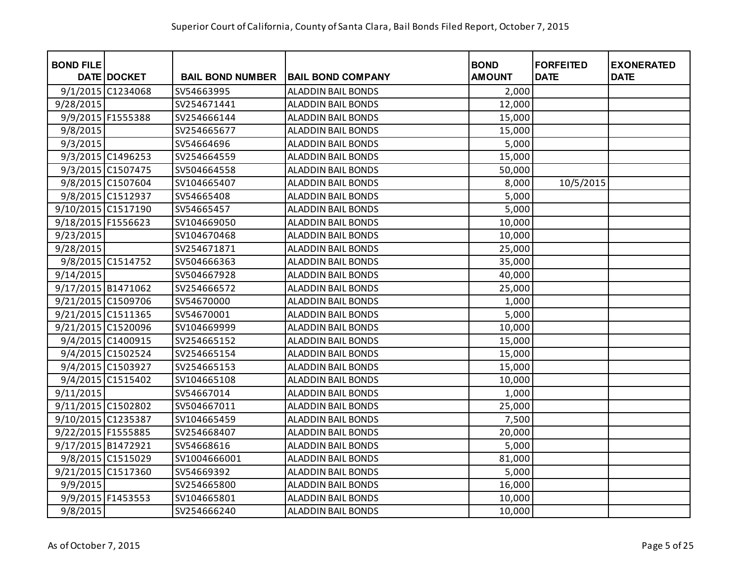| <b>BOND FILE</b>   | <b>DATE DOCKET</b> | <b>BAIL BOND NUMBER</b> | <b>BAIL BOND COMPANY</b>  | <b>BOND</b><br><b>AMOUNT</b> | <b>FORFEITED</b><br><b>DATE</b> | <b>EXONERATED</b><br><b>DATE</b> |
|--------------------|--------------------|-------------------------|---------------------------|------------------------------|---------------------------------|----------------------------------|
|                    | 9/1/2015 C1234068  | SV54663995              | <b>ALADDIN BAIL BONDS</b> | 2,000                        |                                 |                                  |
| 9/28/2015          |                    | SV254671441             | <b>ALADDIN BAIL BONDS</b> | 12,000                       |                                 |                                  |
|                    | 9/9/2015 F1555388  | SV254666144             | <b>ALADDIN BAIL BONDS</b> | 15,000                       |                                 |                                  |
| 9/8/2015           |                    | SV254665677             | ALADDIN BAIL BONDS        | 15,000                       |                                 |                                  |
| 9/3/2015           |                    | SV54664696              | <b>ALADDIN BAIL BONDS</b> | 5,000                        |                                 |                                  |
|                    | 9/3/2015 C1496253  | SV254664559             | <b>ALADDIN BAIL BONDS</b> | 15,000                       |                                 |                                  |
|                    | 9/3/2015 C1507475  | SV504664558             | ALADDIN BAIL BONDS        | 50,000                       |                                 |                                  |
|                    | 9/8/2015 C1507604  | SV104665407             | ALADDIN BAIL BONDS        | 8,000                        | 10/5/2015                       |                                  |
|                    | 9/8/2015 C1512937  | SV54665408              | <b>ALADDIN BAIL BONDS</b> | 5,000                        |                                 |                                  |
| 9/10/2015 C1517190 |                    | SV54665457              | <b>ALADDIN BAIL BONDS</b> | 5,000                        |                                 |                                  |
| 9/18/2015 F1556623 |                    | SV104669050             | <b>ALADDIN BAIL BONDS</b> | 10,000                       |                                 |                                  |
| 9/23/2015          |                    | SV104670468             | <b>ALADDIN BAIL BONDS</b> | 10,000                       |                                 |                                  |
| 9/28/2015          |                    | SV254671871             | <b>ALADDIN BAIL BONDS</b> | 25,000                       |                                 |                                  |
|                    | 9/8/2015 C1514752  | SV504666363             | <b>ALADDIN BAIL BONDS</b> | 35,000                       |                                 |                                  |
| 9/14/2015          |                    | SV504667928             | <b>ALADDIN BAIL BONDS</b> | 40,000                       |                                 |                                  |
| 9/17/2015 B1471062 |                    | SV254666572             | <b>ALADDIN BAIL BONDS</b> | 25,000                       |                                 |                                  |
| 9/21/2015 C1509706 |                    | SV54670000              | <b>ALADDIN BAIL BONDS</b> | 1,000                        |                                 |                                  |
| 9/21/2015 C1511365 |                    | SV54670001              | <b>ALADDIN BAIL BONDS</b> | 5,000                        |                                 |                                  |
| 9/21/2015 C1520096 |                    | SV104669999             | <b>ALADDIN BAIL BONDS</b> | 10,000                       |                                 |                                  |
|                    | 9/4/2015 C1400915  | SV254665152             | <b>ALADDIN BAIL BONDS</b> | 15,000                       |                                 |                                  |
|                    | 9/4/2015 C1502524  | SV254665154             | <b>ALADDIN BAIL BONDS</b> | 15,000                       |                                 |                                  |
|                    | 9/4/2015 C1503927  | SV254665153             | <b>ALADDIN BAIL BONDS</b> | 15,000                       |                                 |                                  |
|                    | 9/4/2015 C1515402  | SV104665108             | <b>ALADDIN BAIL BONDS</b> | 10,000                       |                                 |                                  |
| 9/11/2015          |                    | SV54667014              | <b>ALADDIN BAIL BONDS</b> | 1,000                        |                                 |                                  |
| 9/11/2015 C1502802 |                    | SV504667011             | ALADDIN BAIL BONDS        | 25,000                       |                                 |                                  |
| 9/10/2015 C1235387 |                    | SV104665459             | <b>ALADDIN BAIL BONDS</b> | 7,500                        |                                 |                                  |
| 9/22/2015 F1555885 |                    | SV254668407             | <b>ALADDIN BAIL BONDS</b> | 20,000                       |                                 |                                  |
| 9/17/2015 B1472921 |                    | SV54668616              | <b>ALADDIN BAIL BONDS</b> | 5,000                        |                                 |                                  |
|                    | 9/8/2015 C1515029  | SV1004666001            | <b>ALADDIN BAIL BONDS</b> | 81,000                       |                                 |                                  |
| 9/21/2015 C1517360 |                    | SV54669392              | <b>ALADDIN BAIL BONDS</b> | 5,000                        |                                 |                                  |
| 9/9/2015           |                    | SV254665800             | <b>ALADDIN BAIL BONDS</b> | 16,000                       |                                 |                                  |
|                    | 9/9/2015 F1453553  | SV104665801             | <b>ALADDIN BAIL BONDS</b> | 10,000                       |                                 |                                  |
| 9/8/2015           |                    | SV254666240             | <b>ALADDIN BAIL BONDS</b> | 10,000                       |                                 |                                  |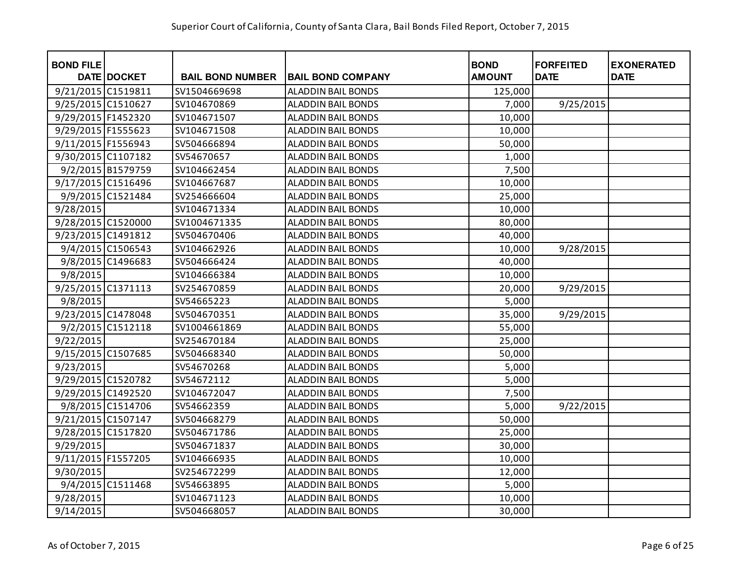| <b>BOND FILE</b>   | DATE DOCKET       | <b>BAIL BOND NUMBER</b> | <b>BAIL BOND COMPANY</b>  | <b>BOND</b><br><b>AMOUNT</b> | <b>FORFEITED</b><br><b>DATE</b> | <b>EXONERATED</b><br><b>DATE</b> |
|--------------------|-------------------|-------------------------|---------------------------|------------------------------|---------------------------------|----------------------------------|
| 9/21/2015 C1519811 |                   | SV1504669698            | <b>ALADDIN BAIL BONDS</b> | 125,000                      |                                 |                                  |
| 9/25/2015 C1510627 |                   | SV104670869             | <b>ALADDIN BAIL BONDS</b> | 7,000                        | 9/25/2015                       |                                  |
| 9/29/2015 F1452320 |                   | SV104671507             | <b>ALADDIN BAIL BONDS</b> | 10,000                       |                                 |                                  |
| 9/29/2015 F1555623 |                   | SV104671508             | <b>ALADDIN BAIL BONDS</b> | 10,000                       |                                 |                                  |
| 9/11/2015 F1556943 |                   | SV504666894             | <b>ALADDIN BAIL BONDS</b> | 50,000                       |                                 |                                  |
| 9/30/2015 C1107182 |                   | SV54670657              | <b>ALADDIN BAIL BONDS</b> | 1,000                        |                                 |                                  |
|                    | 9/2/2015 B1579759 | SV104662454             | <b>ALADDIN BAIL BONDS</b> | 7,500                        |                                 |                                  |
| 9/17/2015 C1516496 |                   | SV104667687             | <b>ALADDIN BAIL BONDS</b> | 10,000                       |                                 |                                  |
|                    | 9/9/2015 C1521484 | SV254666604             | <b>ALADDIN BAIL BONDS</b> | 25,000                       |                                 |                                  |
| 9/28/2015          |                   | SV104671334             | <b>ALADDIN BAIL BONDS</b> | 10,000                       |                                 |                                  |
| 9/28/2015 C1520000 |                   | SV1004671335            | <b>ALADDIN BAIL BONDS</b> | 80,000                       |                                 |                                  |
| 9/23/2015 C1491812 |                   | SV504670406             | <b>ALADDIN BAIL BONDS</b> | 40,000                       |                                 |                                  |
|                    | 9/4/2015 C1506543 | SV104662926             | <b>ALADDIN BAIL BONDS</b> | 10,000                       | 9/28/2015                       |                                  |
|                    | 9/8/2015 C1496683 | SV504666424             | <b>ALADDIN BAIL BONDS</b> | 40,000                       |                                 |                                  |
| 9/8/2015           |                   | SV104666384             | <b>ALADDIN BAIL BONDS</b> | 10,000                       |                                 |                                  |
| 9/25/2015 C1371113 |                   | SV254670859             | ALADDIN BAIL BONDS        | 20,000                       | 9/29/2015                       |                                  |
| 9/8/2015           |                   | SV54665223              | ALADDIN BAIL BONDS        | 5,000                        |                                 |                                  |
| 9/23/2015 C1478048 |                   | SV504670351             | <b>ALADDIN BAIL BONDS</b> | 35,000                       | 9/29/2015                       |                                  |
|                    | 9/2/2015 C1512118 | SV1004661869            | ALADDIN BAIL BONDS        | 55,000                       |                                 |                                  |
| 9/22/2015          |                   | SV254670184             | <b>ALADDIN BAIL BONDS</b> | 25,000                       |                                 |                                  |
| 9/15/2015 C1507685 |                   | SV504668340             | <b>ALADDIN BAIL BONDS</b> | 50,000                       |                                 |                                  |
| 9/23/2015          |                   | SV54670268              | <b>ALADDIN BAIL BONDS</b> | 5,000                        |                                 |                                  |
| 9/29/2015 C1520782 |                   | SV54672112              | <b>ALADDIN BAIL BONDS</b> | 5,000                        |                                 |                                  |
| 9/29/2015 C1492520 |                   | SV104672047             | <b>ALADDIN BAIL BONDS</b> | 7,500                        |                                 |                                  |
|                    | 9/8/2015 C1514706 | SV54662359              | <b>ALADDIN BAIL BONDS</b> | 5,000                        | 9/22/2015                       |                                  |
| 9/21/2015 C1507147 |                   | SV504668279             | <b>ALADDIN BAIL BONDS</b> | 50,000                       |                                 |                                  |
| 9/28/2015 C1517820 |                   | SV504671786             | <b>ALADDIN BAIL BONDS</b> | 25,000                       |                                 |                                  |
| 9/29/2015          |                   | SV504671837             | <b>ALADDIN BAIL BONDS</b> | 30,000                       |                                 |                                  |
| 9/11/2015 F1557205 |                   | SV104666935             | <b>ALADDIN BAIL BONDS</b> | 10,000                       |                                 |                                  |
| 9/30/2015          |                   | SV254672299             | <b>ALADDIN BAIL BONDS</b> | 12,000                       |                                 |                                  |
|                    | 9/4/2015 C1511468 | SV54663895              | <b>ALADDIN BAIL BONDS</b> | 5,000                        |                                 |                                  |
| 9/28/2015          |                   | SV104671123             | <b>ALADDIN BAIL BONDS</b> | 10,000                       |                                 |                                  |
| 9/14/2015          |                   | SV504668057             | <b>ALADDIN BAIL BONDS</b> | 30,000                       |                                 |                                  |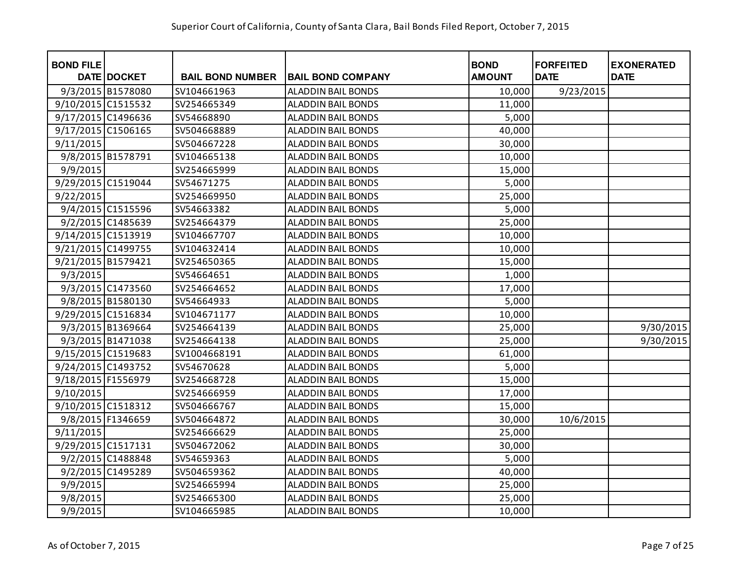| <b>BOND FILE</b>   | DATE DOCKET       | <b>BAIL BOND NUMBER</b> | <b>BAIL BOND COMPANY</b>  | <b>BOND</b><br><b>AMOUNT</b> | <b>FORFEITED</b><br><b>DATE</b> | <b>EXONERATED</b><br><b>DATE</b> |
|--------------------|-------------------|-------------------------|---------------------------|------------------------------|---------------------------------|----------------------------------|
|                    | 9/3/2015 B1578080 | SV104661963             | <b>ALADDIN BAIL BONDS</b> | 10,000                       | 9/23/2015                       |                                  |
| 9/10/2015 C1515532 |                   | SV254665349             | <b>ALADDIN BAIL BONDS</b> | 11,000                       |                                 |                                  |
| 9/17/2015 C1496636 |                   | SV54668890              | <b>ALADDIN BAIL BONDS</b> | 5,000                        |                                 |                                  |
| 9/17/2015 C1506165 |                   | SV504668889             | <b>ALADDIN BAIL BONDS</b> | 40,000                       |                                 |                                  |
| 9/11/2015          |                   | SV504667228             | <b>ALADDIN BAIL BONDS</b> | 30,000                       |                                 |                                  |
|                    | 9/8/2015 B1578791 | SV104665138             | <b>ALADDIN BAIL BONDS</b> | 10,000                       |                                 |                                  |
| 9/9/2015           |                   | SV254665999             | ALADDIN BAIL BONDS        | 15,000                       |                                 |                                  |
| 9/29/2015 C1519044 |                   | SV54671275              | <b>ALADDIN BAIL BONDS</b> | 5,000                        |                                 |                                  |
| 9/22/2015          |                   | SV254669950             | <b>ALADDIN BAIL BONDS</b> | 25,000                       |                                 |                                  |
|                    | 9/4/2015 C1515596 | SV54663382              | <b>ALADDIN BAIL BONDS</b> | 5,000                        |                                 |                                  |
|                    | 9/2/2015 C1485639 | SV254664379             | <b>ALADDIN BAIL BONDS</b> | 25,000                       |                                 |                                  |
| 9/14/2015 C1513919 |                   | SV104667707             | ALADDIN BAIL BONDS        | 10,000                       |                                 |                                  |
| 9/21/2015 C1499755 |                   | SV104632414             | <b>ALADDIN BAIL BONDS</b> | 10,000                       |                                 |                                  |
| 9/21/2015 B1579421 |                   | SV254650365             | ALADDIN BAIL BONDS        | 15,000                       |                                 |                                  |
| 9/3/2015           |                   | SV54664651              | <b>ALADDIN BAIL BONDS</b> | 1,000                        |                                 |                                  |
|                    | 9/3/2015 C1473560 | SV254664652             | <b>ALADDIN BAIL BONDS</b> | 17,000                       |                                 |                                  |
|                    | 9/8/2015 B1580130 | SV54664933              | <b>ALADDIN BAIL BONDS</b> | 5,000                        |                                 |                                  |
| 9/29/2015 C1516834 |                   | SV104671177             | <b>ALADDIN BAIL BONDS</b> | 10,000                       |                                 |                                  |
|                    | 9/3/2015 B1369664 | SV254664139             | <b>ALADDIN BAIL BONDS</b> | 25,000                       |                                 | 9/30/2015                        |
|                    | 9/3/2015 B1471038 | SV254664138             | <b>ALADDIN BAIL BONDS</b> | 25,000                       |                                 | 9/30/2015                        |
| 9/15/2015 C1519683 |                   | SV1004668191            | <b>ALADDIN BAIL BONDS</b> | 61,000                       |                                 |                                  |
| 9/24/2015 C1493752 |                   | SV54670628              | <b>ALADDIN BAIL BONDS</b> | 5,000                        |                                 |                                  |
| 9/18/2015 F1556979 |                   | SV254668728             | <b>ALADDIN BAIL BONDS</b> | 15,000                       |                                 |                                  |
| 9/10/2015          |                   | SV254666959             | ALADDIN BAIL BONDS        | 17,000                       |                                 |                                  |
| 9/10/2015 C1518312 |                   | SV504666767             | <b>ALADDIN BAIL BONDS</b> | 15,000                       |                                 |                                  |
|                    | 9/8/2015 F1346659 | SV504664872             | <b>ALADDIN BAIL BONDS</b> | 30,000                       | 10/6/2015                       |                                  |
| 9/11/2015          |                   | SV254666629             | <b>ALADDIN BAIL BONDS</b> | 25,000                       |                                 |                                  |
| 9/29/2015 C1517131 |                   | SV504672062             | <b>ALADDIN BAIL BONDS</b> | 30,000                       |                                 |                                  |
|                    | 9/2/2015 C1488848 | SV54659363              | <b>ALADDIN BAIL BONDS</b> | 5,000                        |                                 |                                  |
|                    | 9/2/2015 C1495289 | SV504659362             | <b>ALADDIN BAIL BONDS</b> | 40,000                       |                                 |                                  |
| 9/9/2015           |                   | SV254665994             | <b>ALADDIN BAIL BONDS</b> | 25,000                       |                                 |                                  |
| 9/8/2015           |                   | SV254665300             | <b>ALADDIN BAIL BONDS</b> | 25,000                       |                                 |                                  |
| 9/9/2015           |                   | SV104665985             | <b>ALADDIN BAIL BONDS</b> | 10,000                       |                                 |                                  |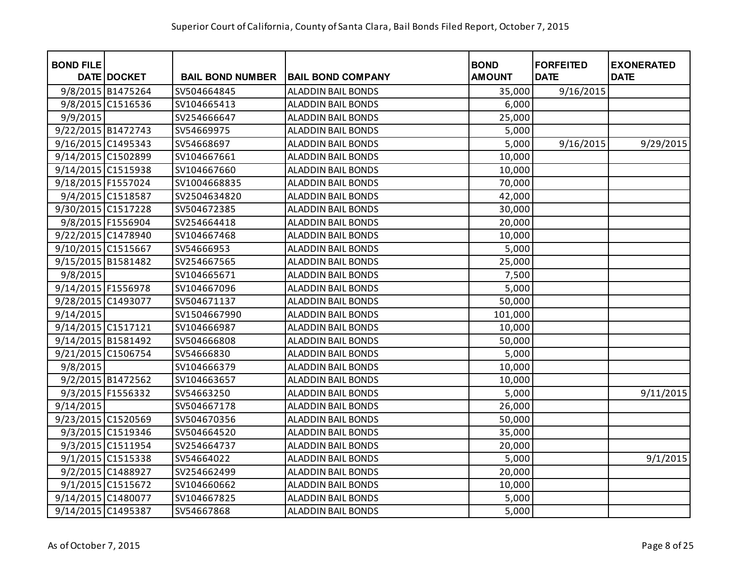| <b>BOND FILE</b>   |                   |                         |                           | <b>BOND</b>   | <b>FORFEITED</b> | <b>EXONERATED</b> |
|--------------------|-------------------|-------------------------|---------------------------|---------------|------------------|-------------------|
|                    | DATE DOCKET       | <b>BAIL BOND NUMBER</b> | <b>BAIL BOND COMPANY</b>  | <b>AMOUNT</b> | <b>DATE</b>      | <b>DATE</b>       |
|                    | 9/8/2015 B1475264 | SV504664845             | <b>ALADDIN BAIL BONDS</b> | 35,000        | 9/16/2015        |                   |
|                    | 9/8/2015 C1516536 | SV104665413             | <b>ALADDIN BAIL BONDS</b> | 6,000         |                  |                   |
| 9/9/2015           |                   | SV254666647             | <b>ALADDIN BAIL BONDS</b> | 25,000        |                  |                   |
| 9/22/2015 B1472743 |                   | SV54669975              | <b>ALADDIN BAIL BONDS</b> | 5,000         |                  |                   |
| 9/16/2015 C1495343 |                   | SV54668697              | <b>ALADDIN BAIL BONDS</b> | 5,000         | 9/16/2015        | 9/29/2015         |
| 9/14/2015 C1502899 |                   | SV104667661             | <b>ALADDIN BAIL BONDS</b> | 10,000        |                  |                   |
| 9/14/2015 C1515938 |                   | SV104667660             | <b>ALADDIN BAIL BONDS</b> | 10,000        |                  |                   |
| 9/18/2015 F1557024 |                   | SV1004668835            | <b>ALADDIN BAIL BONDS</b> | 70,000        |                  |                   |
|                    | 9/4/2015 C1518587 | SV2504634820            | <b>ALADDIN BAIL BONDS</b> | 42,000        |                  |                   |
| 9/30/2015 C1517228 |                   | SV504672385             | <b>ALADDIN BAIL BONDS</b> | 30,000        |                  |                   |
|                    | 9/8/2015 F1556904 | SV254664418             | <b>ALADDIN BAIL BONDS</b> | 20,000        |                  |                   |
| 9/22/2015 C1478940 |                   | SV104667468             | <b>ALADDIN BAIL BONDS</b> | 10,000        |                  |                   |
| 9/10/2015 C1515667 |                   | SV54666953              | <b>ALADDIN BAIL BONDS</b> | 5,000         |                  |                   |
| 9/15/2015 B1581482 |                   | SV254667565             | <b>ALADDIN BAIL BONDS</b> | 25,000        |                  |                   |
| 9/8/2015           |                   | SV104665671             | <b>ALADDIN BAIL BONDS</b> | 7,500         |                  |                   |
| 9/14/2015 F1556978 |                   | SV104667096             | <b>ALADDIN BAIL BONDS</b> | 5,000         |                  |                   |
| 9/28/2015 C1493077 |                   | SV504671137             | <b>ALADDIN BAIL BONDS</b> | 50,000        |                  |                   |
| 9/14/2015          |                   | SV1504667990            | <b>ALADDIN BAIL BONDS</b> | 101,000       |                  |                   |
| 9/14/2015 C1517121 |                   | SV104666987             | <b>ALADDIN BAIL BONDS</b> | 10,000        |                  |                   |
| 9/14/2015 B1581492 |                   | SV504666808             | <b>ALADDIN BAIL BONDS</b> | 50,000        |                  |                   |
| 9/21/2015 C1506754 |                   | SV54666830              | <b>ALADDIN BAIL BONDS</b> | 5,000         |                  |                   |
| 9/8/2015           |                   | SV104666379             | ALADDIN BAIL BONDS        | 10,000        |                  |                   |
|                    | 9/2/2015 B1472562 | SV104663657             | <b>ALADDIN BAIL BONDS</b> | 10,000        |                  |                   |
|                    | 9/3/2015 F1556332 | SV54663250              | <b>ALADDIN BAIL BONDS</b> | 5,000         |                  | 9/11/2015         |
| 9/14/2015          |                   | SV504667178             | <b>ALADDIN BAIL BONDS</b> | 26,000        |                  |                   |
| 9/23/2015 C1520569 |                   | SV504670356             | <b>ALADDIN BAIL BONDS</b> | 50,000        |                  |                   |
|                    | 9/3/2015 C1519346 | SV504664520             | <b>ALADDIN BAIL BONDS</b> | 35,000        |                  |                   |
|                    | 9/3/2015 C1511954 | SV254664737             | <b>ALADDIN BAIL BONDS</b> | 20,000        |                  |                   |
|                    | 9/1/2015 C1515338 | SV54664022              | <b>ALADDIN BAIL BONDS</b> | 5,000         |                  | 9/1/2015          |
|                    | 9/2/2015 C1488927 | SV254662499             | <b>ALADDIN BAIL BONDS</b> | 20,000        |                  |                   |
|                    | 9/1/2015 C1515672 | SV104660662             | <b>ALADDIN BAIL BONDS</b> | 10,000        |                  |                   |
| 9/14/2015 C1480077 |                   | SV104667825             | <b>ALADDIN BAIL BONDS</b> | 5,000         |                  |                   |
| 9/14/2015 C1495387 |                   | SV54667868              | <b>ALADDIN BAIL BONDS</b> | 5,000         |                  |                   |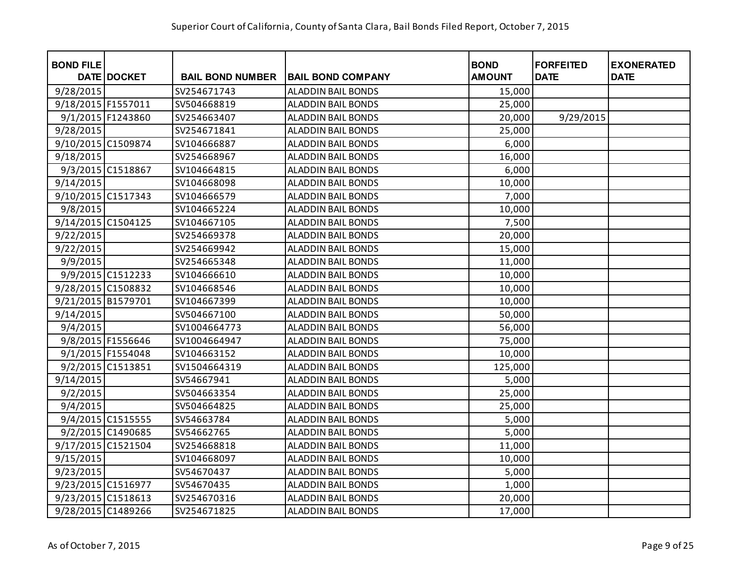| <b>BOND FILE</b>   | DATE DOCKET       | <b>BAIL BOND NUMBER</b> | <b>BAIL BOND COMPANY</b>  | <b>BOND</b><br><b>AMOUNT</b> | <b>FORFEITED</b><br><b>DATE</b> | <b>EXONERATED</b><br><b>DATE</b> |
|--------------------|-------------------|-------------------------|---------------------------|------------------------------|---------------------------------|----------------------------------|
| 9/28/2015          |                   | SV254671743             | <b>ALADDIN BAIL BONDS</b> |                              |                                 |                                  |
|                    |                   |                         |                           | 15,000                       |                                 |                                  |
| 9/18/2015 F1557011 |                   | SV504668819             | <b>ALADDIN BAIL BONDS</b> | 25,000                       |                                 |                                  |
|                    | 9/1/2015 F1243860 | SV254663407             | <b>ALADDIN BAIL BONDS</b> | 20,000                       | 9/29/2015                       |                                  |
| 9/28/2015          |                   | SV254671841             | <b>ALADDIN BAIL BONDS</b> | 25,000                       |                                 |                                  |
| 9/10/2015 C1509874 |                   | SV104666887             | ALADDIN BAIL BONDS        | 6,000                        |                                 |                                  |
| 9/18/2015          |                   | SV254668967             | <b>ALADDIN BAIL BONDS</b> | 16,000                       |                                 |                                  |
|                    | 9/3/2015 C1518867 | SV104664815             | <b>ALADDIN BAIL BONDS</b> | 6,000                        |                                 |                                  |
| 9/14/2015          |                   | SV104668098             | <b>ALADDIN BAIL BONDS</b> | 10,000                       |                                 |                                  |
| 9/10/2015 C1517343 |                   | SV104666579             | <b>ALADDIN BAIL BONDS</b> | 7,000                        |                                 |                                  |
| 9/8/2015           |                   | SV104665224             | <b>ALADDIN BAIL BONDS</b> | 10,000                       |                                 |                                  |
| 9/14/2015 C1504125 |                   | SV104667105             | <b>ALADDIN BAIL BONDS</b> | 7,500                        |                                 |                                  |
| 9/22/2015          |                   | SV254669378             | ALADDIN BAIL BONDS        | 20,000                       |                                 |                                  |
| 9/22/2015          |                   | SV254669942             | <b>ALADDIN BAIL BONDS</b> | 15,000                       |                                 |                                  |
| 9/9/2015           |                   | SV254665348             | <b>ALADDIN BAIL BONDS</b> | 11,000                       |                                 |                                  |
|                    | 9/9/2015 C1512233 | SV104666610             | <b>ALADDIN BAIL BONDS</b> | 10,000                       |                                 |                                  |
| 9/28/2015 C1508832 |                   | SV104668546             | <b>ALADDIN BAIL BONDS</b> | 10,000                       |                                 |                                  |
| 9/21/2015 B1579701 |                   | SV104667399             | <b>ALADDIN BAIL BONDS</b> | 10,000                       |                                 |                                  |
| 9/14/2015          |                   | SV504667100             | <b>ALADDIN BAIL BONDS</b> | 50,000                       |                                 |                                  |
| 9/4/2015           |                   | SV1004664773            | ALADDIN BAIL BONDS        | 56,000                       |                                 |                                  |
|                    | 9/8/2015 F1556646 | SV1004664947            | <b>ALADDIN BAIL BONDS</b> | 75,000                       |                                 |                                  |
|                    | 9/1/2015 F1554048 | SV104663152             | <b>ALADDIN BAIL BONDS</b> | 10,000                       |                                 |                                  |
|                    | 9/2/2015 C1513851 | SV1504664319            | ALADDIN BAIL BONDS        | 125,000                      |                                 |                                  |
| 9/14/2015          |                   | SV54667941              | <b>ALADDIN BAIL BONDS</b> | 5,000                        |                                 |                                  |
| 9/2/2015           |                   | SV504663354             | <b>ALADDIN BAIL BONDS</b> | 25,000                       |                                 |                                  |
| 9/4/2015           |                   | SV504664825             | <b>ALADDIN BAIL BONDS</b> | 25,000                       |                                 |                                  |
|                    | 9/4/2015 C1515555 | SV54663784              | ALADDIN BAIL BONDS        | 5,000                        |                                 |                                  |
|                    | 9/2/2015 C1490685 | SV54662765              | <b>ALADDIN BAIL BONDS</b> | 5,000                        |                                 |                                  |
| 9/17/2015 C1521504 |                   | SV254668818             | <b>ALADDIN BAIL BONDS</b> | 11,000                       |                                 |                                  |
| 9/15/2015          |                   | SV104668097             | <b>ALADDIN BAIL BONDS</b> | 10,000                       |                                 |                                  |
| 9/23/2015          |                   | SV54670437              | <b>ALADDIN BAIL BONDS</b> | 5,000                        |                                 |                                  |
| 9/23/2015 C1516977 |                   | SV54670435              | <b>ALADDIN BAIL BONDS</b> | 1,000                        |                                 |                                  |
| 9/23/2015 C1518613 |                   | SV254670316             | <b>ALADDIN BAIL BONDS</b> | 20,000                       |                                 |                                  |
| 9/28/2015 C1489266 |                   | SV254671825             | <b>ALADDIN BAIL BONDS</b> | 17,000                       |                                 |                                  |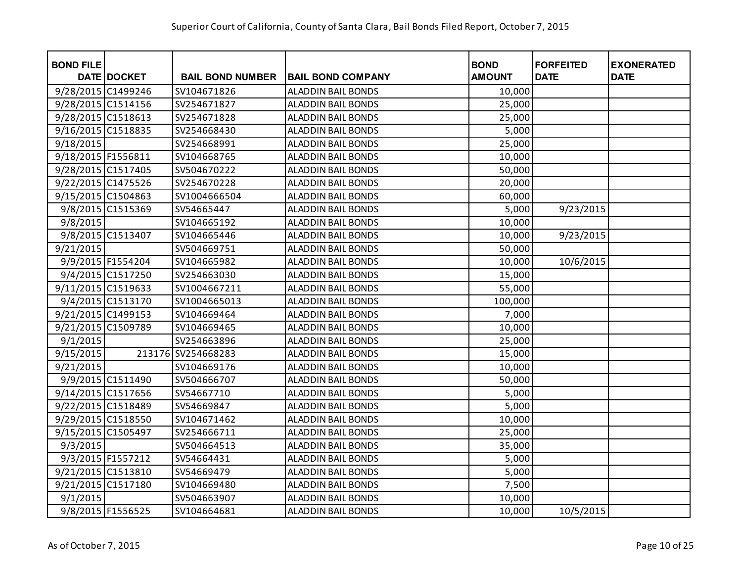| <b>BOND FILE</b>   | DATE DOCKET       | <b>BAIL BOND NUMBER</b> | <b>BAIL BOND COMPANY</b>  | <b>BOND</b><br><b>AMOUNT</b> | <b>FORFEITED</b><br><b>DATE</b> | <b>EXONERATED</b><br><b>DATE</b> |
|--------------------|-------------------|-------------------------|---------------------------|------------------------------|---------------------------------|----------------------------------|
|                    |                   |                         |                           |                              |                                 |                                  |
| 9/28/2015 C1499246 |                   | SV104671826             | <b>ALADDIN BAIL BONDS</b> | 10,000                       |                                 |                                  |
| 9/28/2015 C1514156 |                   | SV254671827             | <b>ALADDIN BAIL BONDS</b> | 25,000                       |                                 |                                  |
| 9/28/2015 C1518613 |                   | SV254671828             | <b>ALADDIN BAIL BONDS</b> | 25,000                       |                                 |                                  |
| 9/16/2015 C1518835 |                   | SV254668430             | <b>ALADDIN BAIL BONDS</b> | 5,000                        |                                 |                                  |
| 9/18/2015          |                   | SV254668991             | <b>ALADDIN BAIL BONDS</b> | 25,000                       |                                 |                                  |
| 9/18/2015 F1556811 |                   | SV104668765             | <b>ALADDIN BAIL BONDS</b> | 10,000                       |                                 |                                  |
| 9/28/2015 C1517405 |                   | SV504670222             | <b>ALADDIN BAIL BONDS</b> | 50,000                       |                                 |                                  |
| 9/22/2015 C1475526 |                   | SV254670228             | <b>ALADDIN BAIL BONDS</b> | 20,000                       |                                 |                                  |
| 9/15/2015 C1504863 |                   | SV1004666504            | <b>ALADDIN BAIL BONDS</b> | 60,000                       |                                 |                                  |
|                    | 9/8/2015 C1515369 | SV54665447              | <b>ALADDIN BAIL BONDS</b> | 5,000                        | 9/23/2015                       |                                  |
| 9/8/2015           |                   | SV104665192             | <b>ALADDIN BAIL BONDS</b> | 10,000                       |                                 |                                  |
|                    | 9/8/2015 C1513407 | SV104665446             | <b>ALADDIN BAIL BONDS</b> | 10,000                       | 9/23/2015                       |                                  |
| 9/21/2015          |                   | SV504669751             | <b>ALADDIN BAIL BONDS</b> | 50,000                       |                                 |                                  |
|                    | 9/9/2015 F1554204 | SV104665982             | <b>ALADDIN BAIL BONDS</b> | 10,000                       | 10/6/2015                       |                                  |
|                    | 9/4/2015 C1517250 | SV254663030             | <b>ALADDIN BAIL BONDS</b> | 15,000                       |                                 |                                  |
| 9/11/2015 C1519633 |                   | SV1004667211            | ALADDIN BAIL BONDS        | 55,000                       |                                 |                                  |
|                    | 9/4/2015 C1513170 | SV1004665013            | ALADDIN BAIL BONDS        | 100,000                      |                                 |                                  |
| 9/21/2015 C1499153 |                   | SV104669464             | ALADDIN BAIL BONDS        | 7,000                        |                                 |                                  |
| 9/21/2015 C1509789 |                   | SV104669465             | ALADDIN BAIL BONDS        | 10,000                       |                                 |                                  |
| 9/1/2015           |                   | SV254663896             | <b>ALADDIN BAIL BONDS</b> | 25,000                       |                                 |                                  |
| 9/15/2015          |                   | 213176 SV254668283      | <b>ALADDIN BAIL BONDS</b> | 15,000                       |                                 |                                  |
| 9/21/2015          |                   | SV104669176             | <b>ALADDIN BAIL BONDS</b> | 10,000                       |                                 |                                  |
|                    | 9/9/2015 C1511490 | SV504666707             | <b>ALADDIN BAIL BONDS</b> | 50,000                       |                                 |                                  |
| 9/14/2015 C1517656 |                   | SV54667710              | <b>ALADDIN BAIL BONDS</b> | 5,000                        |                                 |                                  |
| 9/22/2015 C1518489 |                   | SV54669847              | <b>ALADDIN BAIL BONDS</b> | 5,000                        |                                 |                                  |
| 9/29/2015 C1518550 |                   | SV104671462             | <b>ALADDIN BAIL BONDS</b> | 10,000                       |                                 |                                  |
| 9/15/2015 C1505497 |                   | SV254666711             | <b>ALADDIN BAIL BONDS</b> | 25,000                       |                                 |                                  |
| 9/3/2015           |                   | SV504664513             | <b>ALADDIN BAIL BONDS</b> | 35,000                       |                                 |                                  |
|                    | 9/3/2015 F1557212 | SV54664431              | <b>ALADDIN BAIL BONDS</b> | 5,000                        |                                 |                                  |
| 9/21/2015 C1513810 |                   | SV54669479              | <b>ALADDIN BAIL BONDS</b> | 5,000                        |                                 |                                  |
| 9/21/2015 C1517180 |                   | SV104669480             | <b>ALADDIN BAIL BONDS</b> | 7,500                        |                                 |                                  |
| 9/1/2015           |                   | SV504663907             | <b>ALADDIN BAIL BONDS</b> | 10,000                       |                                 |                                  |
|                    | 9/8/2015 F1556525 | SV104664681             | <b>ALADDIN BAIL BONDS</b> | 10,000                       | 10/5/2015                       |                                  |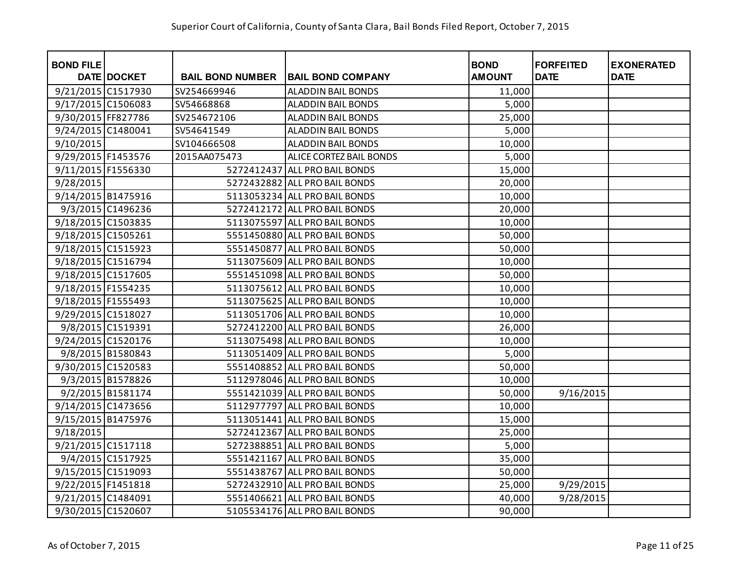| <b>BOND FILE</b>   | DATE DOCKET       | <b>BAIL BOND NUMBER</b> | <b>BAIL BOND COMPANY</b>      | <b>BOND</b><br><b>AMOUNT</b> | <b>FORFEITED</b><br><b>DATE</b> | <b>EXONERATED</b><br><b>DATE</b> |
|--------------------|-------------------|-------------------------|-------------------------------|------------------------------|---------------------------------|----------------------------------|
| 9/21/2015 C1517930 |                   | SV254669946             | <b>ALADDIN BAIL BONDS</b>     | 11,000                       |                                 |                                  |
| 9/17/2015 C1506083 |                   | SV54668868              | <b>ALADDIN BAIL BONDS</b>     | 5,000                        |                                 |                                  |
| 9/30/2015 FF827786 |                   | SV254672106             | <b>ALADDIN BAIL BONDS</b>     | 25,000                       |                                 |                                  |
| 9/24/2015 C1480041 |                   | SV54641549              | <b>ALADDIN BAIL BONDS</b>     | 5,000                        |                                 |                                  |
| 9/10/2015          |                   | SV104666508             | <b>ALADDIN BAIL BONDS</b>     | 10,000                       |                                 |                                  |
| 9/29/2015 F1453576 |                   | 2015AA075473            | ALICE CORTEZ BAIL BONDS       | 5,000                        |                                 |                                  |
| 9/11/2015 F1556330 |                   |                         | 5272412437 ALL PRO BAIL BONDS | 15,000                       |                                 |                                  |
| 9/28/2015          |                   |                         | 5272432882 ALL PRO BAIL BONDS | 20,000                       |                                 |                                  |
| 9/14/2015 B1475916 |                   |                         | 5113053234 ALL PRO BAIL BONDS | 10,000                       |                                 |                                  |
|                    | 9/3/2015 C1496236 |                         | 5272412172 ALL PRO BAIL BONDS | 20,000                       |                                 |                                  |
| 9/18/2015 C1503835 |                   |                         | 5113075597 ALL PRO BAIL BONDS | 10,000                       |                                 |                                  |
| 9/18/2015 C1505261 |                   |                         | 5551450880 ALL PRO BAIL BONDS | 50,000                       |                                 |                                  |
| 9/18/2015 C1515923 |                   |                         | 5551450877 ALL PRO BAIL BONDS | 50,000                       |                                 |                                  |
| 9/18/2015 C1516794 |                   |                         | 5113075609 ALL PRO BAIL BONDS | 10,000                       |                                 |                                  |
| 9/18/2015 C1517605 |                   |                         | 5551451098 ALL PRO BAIL BONDS | 50,000                       |                                 |                                  |
| 9/18/2015 F1554235 |                   |                         | 5113075612 ALL PRO BAIL BONDS | 10,000                       |                                 |                                  |
| 9/18/2015 F1555493 |                   |                         | 5113075625 ALL PRO BAIL BONDS | 10,000                       |                                 |                                  |
| 9/29/2015 C1518027 |                   |                         | 5113051706 ALL PRO BAIL BONDS | 10,000                       |                                 |                                  |
|                    | 9/8/2015 C1519391 |                         | 5272412200 ALL PRO BAIL BONDS | 26,000                       |                                 |                                  |
| 9/24/2015 C1520176 |                   |                         | 5113075498 ALL PRO BAIL BONDS | 10,000                       |                                 |                                  |
|                    | 9/8/2015 B1580843 |                         | 5113051409 ALL PRO BAIL BONDS | 5,000                        |                                 |                                  |
| 9/30/2015 C1520583 |                   |                         | 5551408852 ALL PRO BAIL BONDS | 50,000                       |                                 |                                  |
|                    | 9/3/2015 B1578826 |                         | 5112978046 ALL PRO BAIL BONDS | 10,000                       |                                 |                                  |
|                    | 9/2/2015 B1581174 |                         | 5551421039 ALL PRO BAIL BONDS | 50,000                       | 9/16/2015                       |                                  |
| 9/14/2015 C1473656 |                   |                         | 5112977797 ALL PRO BAIL BONDS | 10,000                       |                                 |                                  |
| 9/15/2015 B1475976 |                   |                         | 5113051441 ALL PRO BAIL BONDS | 15,000                       |                                 |                                  |
| 9/18/2015          |                   |                         | 5272412367 ALL PRO BAIL BONDS | 25,000                       |                                 |                                  |
| 9/21/2015 C1517118 |                   |                         | 5272388851 ALL PRO BAIL BONDS | 5,000                        |                                 |                                  |
|                    | 9/4/2015 C1517925 |                         | 5551421167 ALL PRO BAIL BONDS | 35,000                       |                                 |                                  |
| 9/15/2015 C1519093 |                   |                         | 5551438767 ALL PRO BAIL BONDS | 50,000                       |                                 |                                  |
| 9/22/2015 F1451818 |                   |                         | 5272432910 ALL PRO BAIL BONDS | 25,000                       | 9/29/2015                       |                                  |
| 9/21/2015 C1484091 |                   |                         | 5551406621 ALL PRO BAIL BONDS | 40,000                       | 9/28/2015                       |                                  |
| 9/30/2015 C1520607 |                   |                         | 5105534176 ALL PRO BAIL BONDS | 90,000                       |                                 |                                  |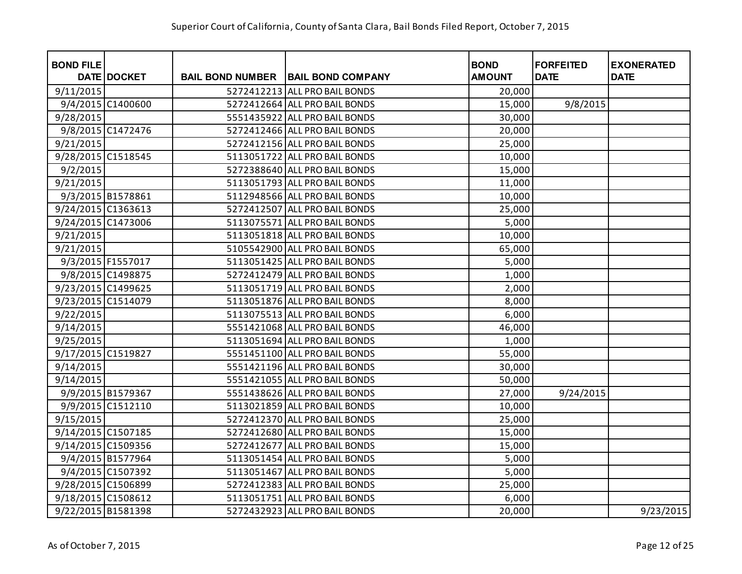| <b>BOND FILE</b>   | DATE DOCKET       | <b>BAIL BOND NUMBER</b> | <b>BAIL BOND COMPANY</b>      | <b>BOND</b><br><b>AMOUNT</b> | <b>FORFEITED</b><br><b>DATE</b> | <b>EXONERATED</b><br><b>DATE</b> |
|--------------------|-------------------|-------------------------|-------------------------------|------------------------------|---------------------------------|----------------------------------|
| 9/11/2015          |                   |                         | 5272412213 ALL PRO BAIL BONDS | 20,000                       |                                 |                                  |
|                    | 9/4/2015 C1400600 |                         | 5272412664 ALL PRO BAIL BONDS | 15,000                       | 9/8/2015                        |                                  |
| 9/28/2015          |                   |                         | 5551435922 ALL PRO BAIL BONDS | 30,000                       |                                 |                                  |
|                    | 9/8/2015 C1472476 |                         | 5272412466 ALL PRO BAIL BONDS | 20,000                       |                                 |                                  |
| 9/21/2015          |                   |                         | 5272412156 ALL PRO BAIL BONDS | 25,000                       |                                 |                                  |
| 9/28/2015 C1518545 |                   |                         | 5113051722 ALL PRO BAIL BONDS | 10,000                       |                                 |                                  |
| 9/2/2015           |                   |                         | 5272388640 ALL PRO BAIL BONDS | 15,000                       |                                 |                                  |
| 9/21/2015          |                   |                         | 5113051793 ALL PRO BAIL BONDS | 11,000                       |                                 |                                  |
|                    | 9/3/2015 B1578861 |                         | 5112948566 ALL PRO BAIL BONDS | 10,000                       |                                 |                                  |
| 9/24/2015 C1363613 |                   |                         | 5272412507 ALL PRO BAIL BONDS | 25,000                       |                                 |                                  |
| 9/24/2015 C1473006 |                   |                         | 5113075571 ALL PRO BAIL BONDS | 5,000                        |                                 |                                  |
| 9/21/2015          |                   |                         | 5113051818 ALL PRO BAIL BONDS | 10,000                       |                                 |                                  |
| 9/21/2015          |                   |                         | 5105542900 ALL PRO BAIL BONDS | 65,000                       |                                 |                                  |
|                    | 9/3/2015 F1557017 |                         | 5113051425 ALL PRO BAIL BONDS | 5,000                        |                                 |                                  |
|                    | 9/8/2015 C1498875 |                         | 5272412479 ALL PRO BAIL BONDS | 1,000                        |                                 |                                  |
| 9/23/2015 C1499625 |                   |                         | 5113051719 ALL PRO BAIL BONDS | 2,000                        |                                 |                                  |
| 9/23/2015 C1514079 |                   |                         | 5113051876 ALL PRO BAIL BONDS | 8,000                        |                                 |                                  |
| 9/22/2015          |                   |                         | 5113075513 ALL PRO BAIL BONDS | 6,000                        |                                 |                                  |
| 9/14/2015          |                   |                         | 5551421068 ALL PRO BAIL BONDS | 46,000                       |                                 |                                  |
| 9/25/2015          |                   |                         | 5113051694 ALL PRO BAIL BONDS | 1,000                        |                                 |                                  |
| 9/17/2015 C1519827 |                   |                         | 5551451100 ALL PRO BAIL BONDS | 55,000                       |                                 |                                  |
| 9/14/2015          |                   |                         | 5551421196 ALL PRO BAIL BONDS | 30,000                       |                                 |                                  |
| 9/14/2015          |                   |                         | 5551421055 ALL PRO BAIL BONDS | 50,000                       |                                 |                                  |
|                    | 9/9/2015 B1579367 |                         | 5551438626 ALL PRO BAIL BONDS | 27,000                       | 9/24/2015                       |                                  |
|                    | 9/9/2015 C1512110 |                         | 5113021859 ALL PRO BAIL BONDS | 10,000                       |                                 |                                  |
| 9/15/2015          |                   |                         | 5272412370 ALL PRO BAIL BONDS | 25,000                       |                                 |                                  |
| 9/14/2015 C1507185 |                   |                         | 5272412680 ALL PRO BAIL BONDS | 15,000                       |                                 |                                  |
| 9/14/2015 C1509356 |                   |                         | 5272412677 ALL PRO BAIL BONDS | 15,000                       |                                 |                                  |
|                    | 9/4/2015 B1577964 |                         | 5113051454 ALL PRO BAIL BONDS | 5,000                        |                                 |                                  |
|                    | 9/4/2015 C1507392 |                         | 5113051467 ALL PRO BAIL BONDS | 5,000                        |                                 |                                  |
| 9/28/2015 C1506899 |                   |                         | 5272412383 ALL PRO BAIL BONDS | 25,000                       |                                 |                                  |
| 9/18/2015 C1508612 |                   |                         | 5113051751 ALL PRO BAIL BONDS | 6,000                        |                                 |                                  |
| 9/22/2015 B1581398 |                   |                         | 5272432923 ALL PRO BAIL BONDS | 20,000                       |                                 | 9/23/2015                        |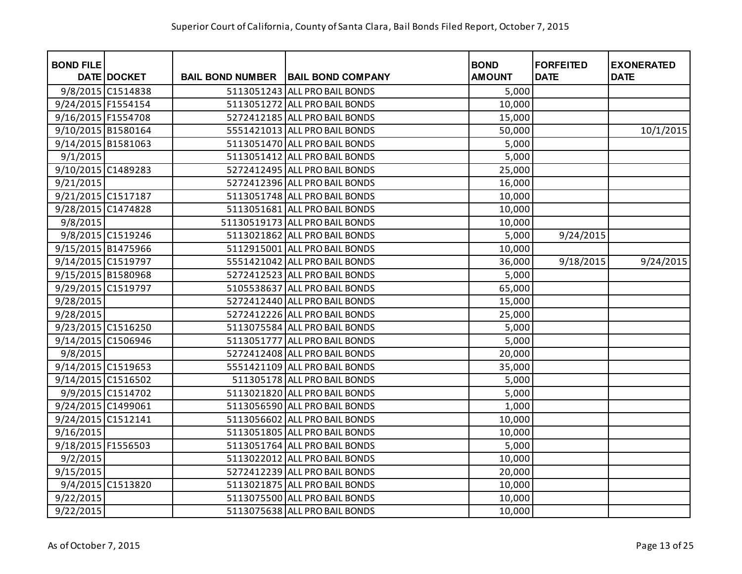| <b>BOND FILE</b>   |                    |                         |                                | <b>BOND</b>   | <b>FORFEITED</b> | <b>EXONERATED</b> |
|--------------------|--------------------|-------------------------|--------------------------------|---------------|------------------|-------------------|
|                    | <b>DATE DOCKET</b> | <b>BAIL BOND NUMBER</b> | <b>BAIL BOND COMPANY</b>       | <b>AMOUNT</b> | <b>DATE</b>      | <b>DATE</b>       |
|                    | 9/8/2015 C1514838  |                         | 5113051243 ALL PRO BAIL BONDS  | 5,000         |                  |                   |
| 9/24/2015 F1554154 |                    |                         | 5113051272 ALL PRO BAIL BONDS  | 10,000        |                  |                   |
| 9/16/2015 F1554708 |                    |                         | 5272412185 ALL PRO BAIL BONDS  | 15,000        |                  |                   |
| 9/10/2015 B1580164 |                    |                         | 5551421013 ALL PRO BAIL BONDS  | 50,000        |                  | 10/1/2015         |
| 9/14/2015 B1581063 |                    |                         | 5113051470 ALL PRO BAIL BONDS  | 5,000         |                  |                   |
| 9/1/2015           |                    |                         | 5113051412 ALL PRO BAIL BONDS  | 5,000         |                  |                   |
| 9/10/2015 C1489283 |                    |                         | 5272412495 ALL PRO BAIL BONDS  | 25,000        |                  |                   |
| 9/21/2015          |                    |                         | 5272412396 ALL PRO BAIL BONDS  | 16,000        |                  |                   |
| 9/21/2015 C1517187 |                    |                         | 5113051748 ALL PRO BAIL BONDS  | 10,000        |                  |                   |
| 9/28/2015 C1474828 |                    |                         | 5113051681 ALL PRO BAIL BONDS  | 10,000        |                  |                   |
| 9/8/2015           |                    |                         | 51130519173 ALL PRO BAIL BONDS | 10,000        |                  |                   |
|                    | 9/8/2015 C1519246  |                         | 5113021862 ALL PRO BAIL BONDS  | 5,000         | 9/24/2015        |                   |
| 9/15/2015 B1475966 |                    |                         | 5112915001 ALL PRO BAIL BONDS  | 10,000        |                  |                   |
| 9/14/2015 C1519797 |                    |                         | 5551421042 ALL PRO BAIL BONDS  | 36,000        | 9/18/2015        | 9/24/2015         |
| 9/15/2015 B1580968 |                    |                         | 5272412523 ALL PRO BAIL BONDS  | 5,000         |                  |                   |
| 9/29/2015 C1519797 |                    |                         | 5105538637 ALL PRO BAIL BONDS  | 65,000        |                  |                   |
| 9/28/2015          |                    |                         | 5272412440 ALL PRO BAIL BONDS  | 15,000        |                  |                   |
| 9/28/2015          |                    |                         | 5272412226 ALL PRO BAIL BONDS  | 25,000        |                  |                   |
| 9/23/2015 C1516250 |                    |                         | 5113075584 ALL PRO BAIL BONDS  | 5,000         |                  |                   |
| 9/14/2015 C1506946 |                    |                         | 5113051777 ALL PRO BAIL BONDS  | 5,000         |                  |                   |
| 9/8/2015           |                    |                         | 5272412408 ALL PRO BAIL BONDS  | 20,000        |                  |                   |
| 9/14/2015 C1519653 |                    |                         | 5551421109 ALL PRO BAIL BONDS  | 35,000        |                  |                   |
| 9/14/2015 C1516502 |                    |                         | 511305178 ALL PRO BAIL BONDS   | 5,000         |                  |                   |
|                    | 9/9/2015 C1514702  |                         | 5113021820 ALL PRO BAIL BONDS  | 5,000         |                  |                   |
| 9/24/2015 C1499061 |                    |                         | 5113056590 ALL PRO BAIL BONDS  | 1,000         |                  |                   |
| 9/24/2015 C1512141 |                    |                         | 5113056602 ALL PRO BAIL BONDS  | 10,000        |                  |                   |
| 9/16/2015          |                    |                         | 5113051805 ALL PRO BAIL BONDS  | 10,000        |                  |                   |
| 9/18/2015 F1556503 |                    |                         | 5113051764 ALL PRO BAIL BONDS  | 5,000         |                  |                   |
| 9/2/2015           |                    |                         | 5113022012 ALL PRO BAIL BONDS  | 10,000        |                  |                   |
| 9/15/2015          |                    |                         | 5272412239 ALL PRO BAIL BONDS  | 20,000        |                  |                   |
|                    | 9/4/2015 C1513820  |                         | 5113021875 ALL PRO BAIL BONDS  | 10,000        |                  |                   |
| 9/22/2015          |                    |                         | 5113075500 ALL PRO BAIL BONDS  | 10,000        |                  |                   |
| 9/22/2015          |                    |                         | 5113075638 ALL PRO BAIL BONDS  | 10,000        |                  |                   |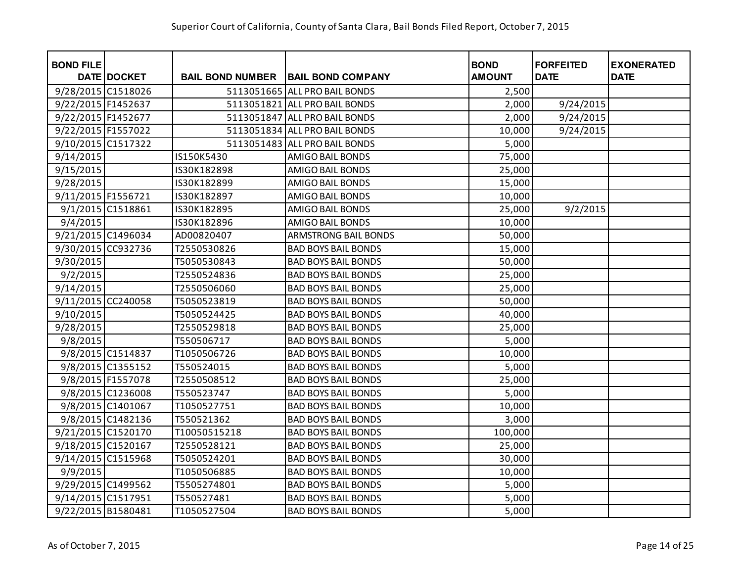| <b>BOND FILE</b>   | DATE DOCKET       | <b>BAIL BOND NUMBER</b> | <b>BAIL BOND COMPANY</b>      | <b>BOND</b><br><b>AMOUNT</b> | <b>FORFEITED</b><br><b>DATE</b> | <b>EXONERATED</b><br><b>DATE</b> |
|--------------------|-------------------|-------------------------|-------------------------------|------------------------------|---------------------------------|----------------------------------|
| 9/28/2015 C1518026 |                   |                         | 5113051665 ALL PRO BAIL BONDS | 2,500                        |                                 |                                  |
|                    |                   |                         | 5113051821 ALL PRO BAIL BONDS |                              |                                 |                                  |
| 9/22/2015 F1452637 |                   |                         |                               | 2,000                        | 9/24/2015                       |                                  |
| 9/22/2015 F1452677 |                   |                         | 5113051847 ALL PRO BAIL BONDS | 2,000                        | 9/24/2015                       |                                  |
| 9/22/2015 F1557022 |                   |                         | 5113051834 ALL PRO BAIL BONDS | 10,000                       | 9/24/2015                       |                                  |
| 9/10/2015 C1517322 |                   |                         | 5113051483 ALL PRO BAIL BONDS | 5,000                        |                                 |                                  |
| 9/14/2015          |                   | IS150K5430              | AMIGO BAIL BONDS              | 75,000                       |                                 |                                  |
| 9/15/2015          |                   | IS30K182898             | AMIGO BAIL BONDS              | 25,000                       |                                 |                                  |
| 9/28/2015          |                   | IS30K182899             | AMIGO BAIL BONDS              | 15,000                       |                                 |                                  |
| 9/11/2015 F1556721 |                   | IS30K182897             | AMIGO BAIL BONDS              | 10,000                       |                                 |                                  |
|                    | 9/1/2015 C1518861 | IS30K182895             | AMIGO BAIL BONDS              | 25,000                       | 9/2/2015                        |                                  |
| 9/4/2015           |                   | IS30K182896             | AMIGO BAIL BONDS              | 10,000                       |                                 |                                  |
| 9/21/2015 C1496034 |                   | AD00820407              | <b>ARMSTRONG BAIL BONDS</b>   | 50,000                       |                                 |                                  |
| 9/30/2015 CC932736 |                   | T2550530826             | <b>BAD BOYS BAIL BONDS</b>    | 15,000                       |                                 |                                  |
| 9/30/2015          |                   | T5050530843             | <b>BAD BOYS BAIL BONDS</b>    | 50,000                       |                                 |                                  |
| 9/2/2015           |                   | T2550524836             | <b>BAD BOYS BAIL BONDS</b>    | 25,000                       |                                 |                                  |
| 9/14/2015          |                   | T2550506060             | <b>BAD BOYS BAIL BONDS</b>    | 25,000                       |                                 |                                  |
| 9/11/2015 CC240058 |                   | T5050523819             | <b>BAD BOYS BAIL BONDS</b>    | 50,000                       |                                 |                                  |
| 9/10/2015          |                   | T5050524425             | <b>BAD BOYS BAIL BONDS</b>    | 40,000                       |                                 |                                  |
| 9/28/2015          |                   | T2550529818             | <b>BAD BOYS BAIL BONDS</b>    | 25,000                       |                                 |                                  |
| 9/8/2015           |                   | T550506717              | <b>BAD BOYS BAIL BONDS</b>    | 5,000                        |                                 |                                  |
|                    | 9/8/2015 C1514837 | T1050506726             | <b>BAD BOYS BAIL BONDS</b>    | 10,000                       |                                 |                                  |
|                    | 9/8/2015 C1355152 | T550524015              | <b>BAD BOYS BAIL BONDS</b>    | 5,000                        |                                 |                                  |
|                    | 9/8/2015 F1557078 | T2550508512             | <b>BAD BOYS BAIL BONDS</b>    | 25,000                       |                                 |                                  |
|                    | 9/8/2015 C1236008 | T550523747              | <b>BAD BOYS BAIL BONDS</b>    | 5,000                        |                                 |                                  |
|                    | 9/8/2015 C1401067 | T1050527751             | <b>BAD BOYS BAIL BONDS</b>    | 10,000                       |                                 |                                  |
|                    | 9/8/2015 C1482136 | T550521362              | <b>BAD BOYS BAIL BONDS</b>    | 3,000                        |                                 |                                  |
| 9/21/2015 C1520170 |                   | T10050515218            | <b>BAD BOYS BAIL BONDS</b>    | 100,000                      |                                 |                                  |
| 9/18/2015 C1520167 |                   | T2550528121             | <b>BAD BOYS BAIL BONDS</b>    | 25,000                       |                                 |                                  |
| 9/14/2015 C1515968 |                   | T5050524201             | <b>BAD BOYS BAIL BONDS</b>    | 30,000                       |                                 |                                  |
| 9/9/2015           |                   | T1050506885             | <b>BAD BOYS BAIL BONDS</b>    | 10,000                       |                                 |                                  |
| 9/29/2015 C1499562 |                   | T5505274801             | <b>BAD BOYS BAIL BONDS</b>    | 5,000                        |                                 |                                  |
| 9/14/2015 C1517951 |                   | T550527481              | <b>BAD BOYS BAIL BONDS</b>    | 5,000                        |                                 |                                  |
| 9/22/2015 B1580481 |                   | T1050527504             | <b>BAD BOYS BAIL BONDS</b>    | 5,000                        |                                 |                                  |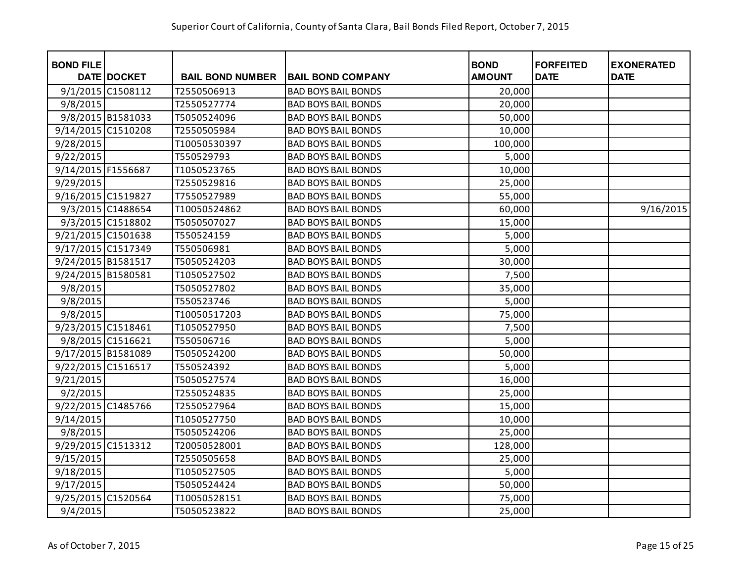| <b>BOND FILE</b>   |                   |                         |                            | <b>BOND</b>   | <b>FORFEITED</b> | <b>EXONERATED</b> |
|--------------------|-------------------|-------------------------|----------------------------|---------------|------------------|-------------------|
|                    | DATE DOCKET       | <b>BAIL BOND NUMBER</b> | <b>BAIL BOND COMPANY</b>   | <b>AMOUNT</b> | <b>DATE</b>      | <b>DATE</b>       |
|                    | 9/1/2015 C1508112 | T2550506913             | <b>BAD BOYS BAIL BONDS</b> | 20,000        |                  |                   |
| 9/8/2015           |                   | T2550527774             | <b>BAD BOYS BAIL BONDS</b> | 20,000        |                  |                   |
|                    | 9/8/2015 B1581033 | T5050524096             | <b>BAD BOYS BAIL BONDS</b> | 50,000        |                  |                   |
| 9/14/2015 C1510208 |                   | T2550505984             | <b>BAD BOYS BAIL BONDS</b> | 10,000        |                  |                   |
| 9/28/2015          |                   | T10050530397            | <b>BAD BOYS BAIL BONDS</b> | 100,000       |                  |                   |
| 9/22/2015          |                   | T550529793              | <b>BAD BOYS BAIL BONDS</b> | 5,000         |                  |                   |
| 9/14/2015 F1556687 |                   | T1050523765             | <b>BAD BOYS BAIL BONDS</b> | 10,000        |                  |                   |
| 9/29/2015          |                   | T2550529816             | <b>BAD BOYS BAIL BONDS</b> | 25,000        |                  |                   |
| 9/16/2015 C1519827 |                   | T7550527989             | <b>BAD BOYS BAIL BONDS</b> | 55,000        |                  |                   |
|                    | 9/3/2015 C1488654 | T10050524862            | <b>BAD BOYS BAIL BONDS</b> | 60,000        |                  | 9/16/2015         |
|                    | 9/3/2015 C1518802 | T5050507027             | <b>BAD BOYS BAIL BONDS</b> | 15,000        |                  |                   |
| 9/21/2015 C1501638 |                   | T550524159              | <b>BAD BOYS BAIL BONDS</b> | 5,000         |                  |                   |
| 9/17/2015 C1517349 |                   | T550506981              | <b>BAD BOYS BAIL BONDS</b> | 5,000         |                  |                   |
| 9/24/2015 B1581517 |                   | T5050524203             | <b>BAD BOYS BAIL BONDS</b> | 30,000        |                  |                   |
| 9/24/2015 B1580581 |                   | T1050527502             | <b>BAD BOYS BAIL BONDS</b> | 7,500         |                  |                   |
| 9/8/2015           |                   | T5050527802             | <b>BAD BOYS BAIL BONDS</b> | 35,000        |                  |                   |
| 9/8/2015           |                   | T550523746              | <b>BAD BOYS BAIL BONDS</b> | 5,000         |                  |                   |
| 9/8/2015           |                   | T10050517203            | <b>BAD BOYS BAIL BONDS</b> | 75,000        |                  |                   |
| 9/23/2015 C1518461 |                   | T1050527950             | <b>BAD BOYS BAIL BONDS</b> | 7,500         |                  |                   |
|                    | 9/8/2015 C1516621 | T550506716              | <b>BAD BOYS BAIL BONDS</b> | 5,000         |                  |                   |
| 9/17/2015 B1581089 |                   | T5050524200             | <b>BAD BOYS BAIL BONDS</b> | 50,000        |                  |                   |
| 9/22/2015 C1516517 |                   | T550524392              | <b>BAD BOYS BAIL BONDS</b> | 5,000         |                  |                   |
| 9/21/2015          |                   | T5050527574             | <b>BAD BOYS BAIL BONDS</b> | 16,000        |                  |                   |
| 9/2/2015           |                   | T2550524835             | <b>BAD BOYS BAIL BONDS</b> | 25,000        |                  |                   |
| 9/22/2015 C1485766 |                   | T2550527964             | <b>BAD BOYS BAIL BONDS</b> | 15,000        |                  |                   |
| 9/14/2015          |                   | T1050527750             | <b>BAD BOYS BAIL BONDS</b> | 10,000        |                  |                   |
| 9/8/2015           |                   | T5050524206             | <b>BAD BOYS BAIL BONDS</b> | 25,000        |                  |                   |
| 9/29/2015 C1513312 |                   | T20050528001            | <b>BAD BOYS BAIL BONDS</b> | 128,000       |                  |                   |
| 9/15/2015          |                   | T2550505658             | <b>BAD BOYS BAIL BONDS</b> | 25,000        |                  |                   |
| 9/18/2015          |                   | T1050527505             | <b>BAD BOYS BAIL BONDS</b> | 5,000         |                  |                   |
| 9/17/2015          |                   | T5050524424             | <b>BAD BOYS BAIL BONDS</b> | 50,000        |                  |                   |
| 9/25/2015 C1520564 |                   | T10050528151            | <b>BAD BOYS BAIL BONDS</b> | 75,000        |                  |                   |
| 9/4/2015           |                   | T5050523822             | <b>BAD BOYS BAIL BONDS</b> | 25,000        |                  |                   |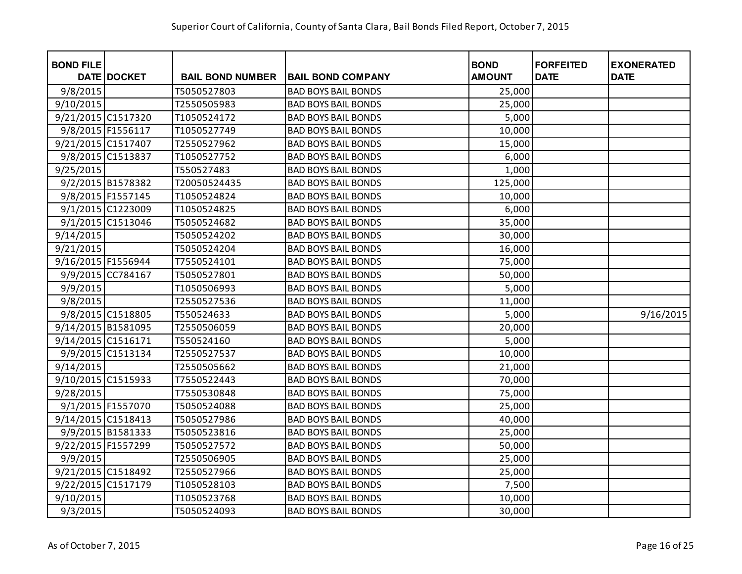| <b>BOND FILE</b>   | DATE DOCKET       | <b>BAIL BOND NUMBER</b> | <b>BAIL BOND COMPANY</b>   | <b>BOND</b><br><b>AMOUNT</b> | <b>FORFEITED</b><br><b>DATE</b> | <b>EXONERATED</b><br><b>DATE</b> |
|--------------------|-------------------|-------------------------|----------------------------|------------------------------|---------------------------------|----------------------------------|
| 9/8/2015           |                   | T5050527803             | <b>BAD BOYS BAIL BONDS</b> | 25,000                       |                                 |                                  |
| 9/10/2015          |                   | T2550505983             | <b>BAD BOYS BAIL BONDS</b> | 25,000                       |                                 |                                  |
| 9/21/2015 C1517320 |                   | T1050524172             | <b>BAD BOYS BAIL BONDS</b> | 5,000                        |                                 |                                  |
|                    | 9/8/2015 F1556117 | T1050527749             | <b>BAD BOYS BAIL BONDS</b> | 10,000                       |                                 |                                  |
| 9/21/2015 C1517407 |                   | T2550527962             | <b>BAD BOYS BAIL BONDS</b> | 15,000                       |                                 |                                  |
|                    | 9/8/2015 C1513837 | T1050527752             | <b>BAD BOYS BAIL BONDS</b> | 6,000                        |                                 |                                  |
| 9/25/2015          |                   | T550527483              | <b>BAD BOYS BAIL BONDS</b> | 1,000                        |                                 |                                  |
|                    | 9/2/2015 B1578382 | T20050524435            | <b>BAD BOYS BAIL BONDS</b> | 125,000                      |                                 |                                  |
|                    | 9/8/2015 F1557145 | T1050524824             | <b>BAD BOYS BAIL BONDS</b> | 10,000                       |                                 |                                  |
|                    | 9/1/2015 C1223009 | T1050524825             | <b>BAD BOYS BAIL BONDS</b> | 6,000                        |                                 |                                  |
|                    | 9/1/2015 C1513046 | T5050524682             | <b>BAD BOYS BAIL BONDS</b> | 35,000                       |                                 |                                  |
| 9/14/2015          |                   | T5050524202             | <b>BAD BOYS BAIL BONDS</b> | 30,000                       |                                 |                                  |
| 9/21/2015          |                   | T5050524204             | <b>BAD BOYS BAIL BONDS</b> | 16,000                       |                                 |                                  |
| 9/16/2015 F1556944 |                   | T7550524101             | <b>BAD BOYS BAIL BONDS</b> | 75,000                       |                                 |                                  |
|                    | 9/9/2015 CC784167 | T5050527801             | <b>BAD BOYS BAIL BONDS</b> | 50,000                       |                                 |                                  |
| 9/9/2015           |                   | T1050506993             | <b>BAD BOYS BAIL BONDS</b> | 5,000                        |                                 |                                  |
| 9/8/2015           |                   | T2550527536             | <b>BAD BOYS BAIL BONDS</b> | 11,000                       |                                 |                                  |
|                    | 9/8/2015 C1518805 | T550524633              | <b>BAD BOYS BAIL BONDS</b> | 5,000                        |                                 | 9/16/2015                        |
| 9/14/2015 B1581095 |                   | T2550506059             | <b>BAD BOYS BAIL BONDS</b> | 20,000                       |                                 |                                  |
| 9/14/2015 C1516171 |                   | T550524160              | <b>BAD BOYS BAIL BONDS</b> | 5,000                        |                                 |                                  |
|                    | 9/9/2015 C1513134 | T2550527537             | <b>BAD BOYS BAIL BONDS</b> | 10,000                       |                                 |                                  |
| 9/14/2015          |                   | T2550505662             | <b>BAD BOYS BAIL BONDS</b> | 21,000                       |                                 |                                  |
| 9/10/2015 C1515933 |                   | T7550522443             | <b>BAD BOYS BAIL BONDS</b> | 70,000                       |                                 |                                  |
| 9/28/2015          |                   | T7550530848             | <b>BAD BOYS BAIL BONDS</b> | 75,000                       |                                 |                                  |
|                    | 9/1/2015 F1557070 | T5050524088             | <b>BAD BOYS BAIL BONDS</b> | 25,000                       |                                 |                                  |
| 9/14/2015 C1518413 |                   | T5050527986             | <b>BAD BOYS BAIL BONDS</b> | 40,000                       |                                 |                                  |
|                    | 9/9/2015 B1581333 | T5050523816             | <b>BAD BOYS BAIL BONDS</b> | 25,000                       |                                 |                                  |
| 9/22/2015 F1557299 |                   | T5050527572             | <b>BAD BOYS BAIL BONDS</b> | 50,000                       |                                 |                                  |
| 9/9/2015           |                   | T2550506905             | <b>BAD BOYS BAIL BONDS</b> | 25,000                       |                                 |                                  |
| 9/21/2015 C1518492 |                   | T2550527966             | <b>BAD BOYS BAIL BONDS</b> | 25,000                       |                                 |                                  |
| 9/22/2015 C1517179 |                   | T1050528103             | <b>BAD BOYS BAIL BONDS</b> | 7,500                        |                                 |                                  |
| 9/10/2015          |                   | T1050523768             | <b>BAD BOYS BAIL BONDS</b> | 10,000                       |                                 |                                  |
| 9/3/2015           |                   | T5050524093             | <b>BAD BOYS BAIL BONDS</b> | 30,000                       |                                 |                                  |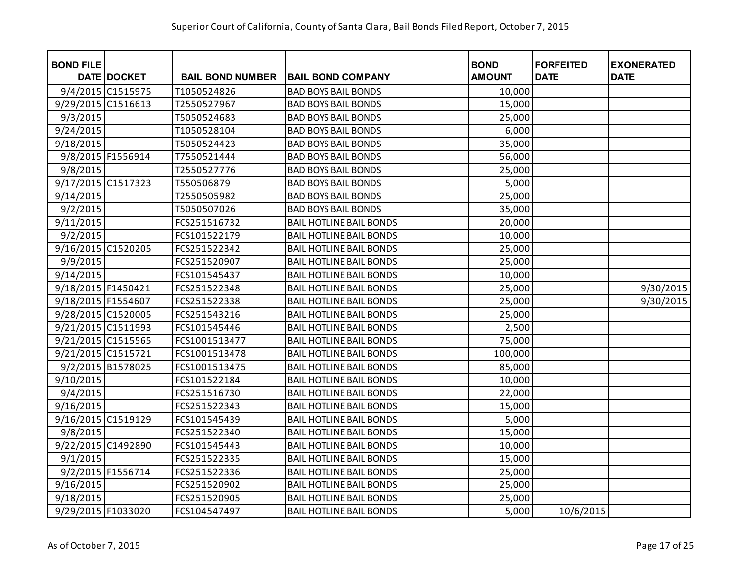| <b>BOND FILE</b>   | DATE DOCKET       | <b>BAIL BOND NUMBER</b> | <b>BAIL BOND COMPANY</b>       | <b>BOND</b><br><b>AMOUNT</b> | <b>FORFEITED</b><br><b>DATE</b> | <b>EXONERATED</b><br><b>DATE</b> |
|--------------------|-------------------|-------------------------|--------------------------------|------------------------------|---------------------------------|----------------------------------|
|                    |                   |                         |                                |                              |                                 |                                  |
|                    | 9/4/2015 C1515975 | T1050524826             | <b>BAD BOYS BAIL BONDS</b>     | 10,000                       |                                 |                                  |
| 9/29/2015 C1516613 |                   | T2550527967             | <b>BAD BOYS BAIL BONDS</b>     | 15,000                       |                                 |                                  |
| 9/3/2015           |                   | T5050524683             | <b>BAD BOYS BAIL BONDS</b>     | 25,000                       |                                 |                                  |
| 9/24/2015          |                   | T1050528104             | <b>BAD BOYS BAIL BONDS</b>     | 6,000                        |                                 |                                  |
| 9/18/2015          |                   | T5050524423             | <b>BAD BOYS BAIL BONDS</b>     | 35,000                       |                                 |                                  |
|                    | 9/8/2015 F1556914 | T7550521444             | <b>BAD BOYS BAIL BONDS</b>     | 56,000                       |                                 |                                  |
| 9/8/2015           |                   | T2550527776             | <b>BAD BOYS BAIL BONDS</b>     | 25,000                       |                                 |                                  |
| 9/17/2015 C1517323 |                   | T550506879              | <b>BAD BOYS BAIL BONDS</b>     | 5,000                        |                                 |                                  |
| 9/14/2015          |                   | T2550505982             | <b>BAD BOYS BAIL BONDS</b>     | 25,000                       |                                 |                                  |
| 9/2/2015           |                   | T5050507026             | <b>BAD BOYS BAIL BONDS</b>     | 35,000                       |                                 |                                  |
| 9/11/2015          |                   | FCS251516732            | <b>BAIL HOTLINE BAIL BONDS</b> | 20,000                       |                                 |                                  |
| 9/2/2015           |                   | FCS101522179            | <b>BAIL HOTLINE BAIL BONDS</b> | 10,000                       |                                 |                                  |
| 9/16/2015 C1520205 |                   | FCS251522342            | <b>BAIL HOTLINE BAIL BONDS</b> | 25,000                       |                                 |                                  |
| 9/9/2015           |                   | FCS251520907            | <b>BAIL HOTLINE BAIL BONDS</b> | 25,000                       |                                 |                                  |
| 9/14/2015          |                   | FCS101545437            | <b>BAIL HOTLINE BAIL BONDS</b> | 10,000                       |                                 |                                  |
| 9/18/2015 F1450421 |                   | FCS251522348            | <b>BAIL HOTLINE BAIL BONDS</b> | 25,000                       |                                 | 9/30/2015                        |
| 9/18/2015 F1554607 |                   | FCS251522338            | <b>BAIL HOTLINE BAIL BONDS</b> | 25,000                       |                                 | 9/30/2015                        |
| 9/28/2015 C1520005 |                   | FCS251543216            | <b>BAIL HOTLINE BAIL BONDS</b> | 25,000                       |                                 |                                  |
| 9/21/2015 C1511993 |                   | FCS101545446            | <b>BAIL HOTLINE BAIL BONDS</b> | 2,500                        |                                 |                                  |
| 9/21/2015 C1515565 |                   | FCS1001513477           | <b>BAIL HOTLINE BAIL BONDS</b> | 75,000                       |                                 |                                  |
| 9/21/2015 C1515721 |                   | FCS1001513478           | <b>BAIL HOTLINE BAIL BONDS</b> | 100,000                      |                                 |                                  |
|                    | 9/2/2015 B1578025 | FCS1001513475           | <b>BAIL HOTLINE BAIL BONDS</b> | 85,000                       |                                 |                                  |
| 9/10/2015          |                   | FCS101522184            | <b>BAIL HOTLINE BAIL BONDS</b> | 10,000                       |                                 |                                  |
| 9/4/2015           |                   | FCS251516730            | <b>BAIL HOTLINE BAIL BONDS</b> | 22,000                       |                                 |                                  |
| 9/16/2015          |                   | FCS251522343            | <b>BAIL HOTLINE BAIL BONDS</b> | 15,000                       |                                 |                                  |
| 9/16/2015 C1519129 |                   | FCS101545439            | <b>BAIL HOTLINE BAIL BONDS</b> | 5,000                        |                                 |                                  |
| 9/8/2015           |                   | FCS251522340            | <b>BAIL HOTLINE BAIL BONDS</b> | 15,000                       |                                 |                                  |
| 9/22/2015 C1492890 |                   | FCS101545443            | <b>BAIL HOTLINE BAIL BONDS</b> | 10,000                       |                                 |                                  |
| 9/1/2015           |                   | FCS251522335            | <b>BAIL HOTLINE BAIL BONDS</b> | 15,000                       |                                 |                                  |
|                    | 9/2/2015 F1556714 | FCS251522336            | <b>BAIL HOTLINE BAIL BONDS</b> | 25,000                       |                                 |                                  |
| 9/16/2015          |                   | FCS251520902            | <b>BAIL HOTLINE BAIL BONDS</b> | 25,000                       |                                 |                                  |
| 9/18/2015          |                   | FCS251520905            | <b>BAIL HOTLINE BAIL BONDS</b> | 25,000                       |                                 |                                  |
| 9/29/2015 F1033020 |                   | FCS104547497            | <b>BAIL HOTLINE BAIL BONDS</b> | 5,000                        | 10/6/2015                       |                                  |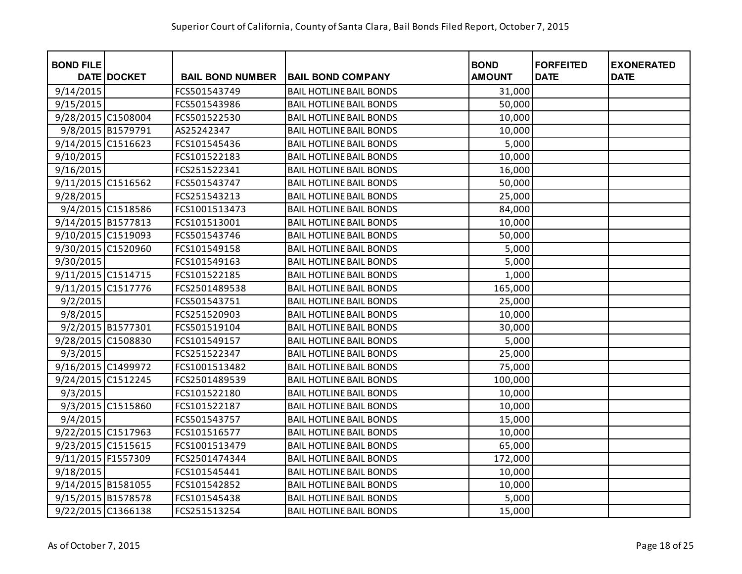| <b>BOND FILE</b>   |                   |                         |                                | <b>BOND</b>   | <b>FORFEITED</b> | <b>EXONERATED</b> |
|--------------------|-------------------|-------------------------|--------------------------------|---------------|------------------|-------------------|
|                    | DATE DOCKET       | <b>BAIL BOND NUMBER</b> | <b>BAIL BOND COMPANY</b>       | <b>AMOUNT</b> | <b>DATE</b>      | <b>DATE</b>       |
| 9/14/2015          |                   | FCS501543749            | <b>BAIL HOTLINE BAIL BONDS</b> | 31,000        |                  |                   |
| 9/15/2015          |                   | FCS501543986            | <b>BAIL HOTLINE BAIL BONDS</b> | 50,000        |                  |                   |
| 9/28/2015 C1508004 |                   | FCS501522530            | <b>BAIL HOTLINE BAIL BONDS</b> | 10,000        |                  |                   |
|                    | 9/8/2015 B1579791 | AS25242347              | <b>BAIL HOTLINE BAIL BONDS</b> | 10,000        |                  |                   |
| 9/14/2015 C1516623 |                   | FCS101545436            | <b>BAIL HOTLINE BAIL BONDS</b> | 5,000         |                  |                   |
| 9/10/2015          |                   | FCS101522183            | <b>BAIL HOTLINE BAIL BONDS</b> | 10,000        |                  |                   |
| 9/16/2015          |                   | FCS251522341            | <b>BAIL HOTLINE BAIL BONDS</b> | 16,000        |                  |                   |
| 9/11/2015 C1516562 |                   | FCS501543747            | <b>BAIL HOTLINE BAIL BONDS</b> | 50,000        |                  |                   |
| 9/28/2015          |                   | FCS251543213            | <b>BAIL HOTLINE BAIL BONDS</b> | 25,000        |                  |                   |
|                    | 9/4/2015 C1518586 | FCS1001513473           | <b>BAIL HOTLINE BAIL BONDS</b> | 84,000        |                  |                   |
| 9/14/2015 B1577813 |                   | FCS101513001            | <b>BAIL HOTLINE BAIL BONDS</b> | 10,000        |                  |                   |
| 9/10/2015 C1519093 |                   | FCS501543746            | <b>BAIL HOTLINE BAIL BONDS</b> | 50,000        |                  |                   |
| 9/30/2015 C1520960 |                   | FCS101549158            | <b>BAIL HOTLINE BAIL BONDS</b> | 5,000         |                  |                   |
| 9/30/2015          |                   | FCS101549163            | <b>BAIL HOTLINE BAIL BONDS</b> | 5,000         |                  |                   |
| 9/11/2015 C1514715 |                   | FCS101522185            | <b>BAIL HOTLINE BAIL BONDS</b> | 1,000         |                  |                   |
| 9/11/2015 C1517776 |                   | FCS2501489538           | <b>BAIL HOTLINE BAIL BONDS</b> | 165,000       |                  |                   |
| 9/2/2015           |                   | FCS501543751            | <b>BAIL HOTLINE BAIL BONDS</b> | 25,000        |                  |                   |
| 9/8/2015           |                   | FCS251520903            | <b>BAIL HOTLINE BAIL BONDS</b> | 10,000        |                  |                   |
|                    | 9/2/2015 B1577301 | FCS501519104            | <b>BAIL HOTLINE BAIL BONDS</b> | 30,000        |                  |                   |
| 9/28/2015 C1508830 |                   | FCS101549157            | <b>BAIL HOTLINE BAIL BONDS</b> | 5,000         |                  |                   |
| 9/3/2015           |                   | FCS251522347            | <b>BAIL HOTLINE BAIL BONDS</b> | 25,000        |                  |                   |
| 9/16/2015 C1499972 |                   | FCS1001513482           | <b>BAIL HOTLINE BAIL BONDS</b> | 75,000        |                  |                   |
| 9/24/2015 C1512245 |                   | FCS2501489539           | <b>BAIL HOTLINE BAIL BONDS</b> | 100,000       |                  |                   |
| 9/3/2015           |                   | FCS101522180            | <b>BAIL HOTLINE BAIL BONDS</b> | 10,000        |                  |                   |
|                    | 9/3/2015 C1515860 | FCS101522187            | <b>BAIL HOTLINE BAIL BONDS</b> | 10,000        |                  |                   |
| 9/4/2015           |                   | FCS501543757            | <b>BAIL HOTLINE BAIL BONDS</b> | 15,000        |                  |                   |
| 9/22/2015 C1517963 |                   | FCS101516577            | <b>BAIL HOTLINE BAIL BONDS</b> | 10,000        |                  |                   |
| 9/23/2015 C1515615 |                   | FCS1001513479           | <b>BAIL HOTLINE BAIL BONDS</b> | 65,000        |                  |                   |
| 9/11/2015 F1557309 |                   | FCS2501474344           | <b>BAIL HOTLINE BAIL BONDS</b> | 172,000       |                  |                   |
| 9/18/2015          |                   | FCS101545441            | <b>BAIL HOTLINE BAIL BONDS</b> | 10,000        |                  |                   |
| 9/14/2015 B1581055 |                   | FCS101542852            | <b>BAIL HOTLINE BAIL BONDS</b> | 10,000        |                  |                   |
| 9/15/2015 B1578578 |                   | FCS101545438            | <b>BAIL HOTLINE BAIL BONDS</b> | 5,000         |                  |                   |
| 9/22/2015 C1366138 |                   | FCS251513254            | <b>BAIL HOTLINE BAIL BONDS</b> | 15,000        |                  |                   |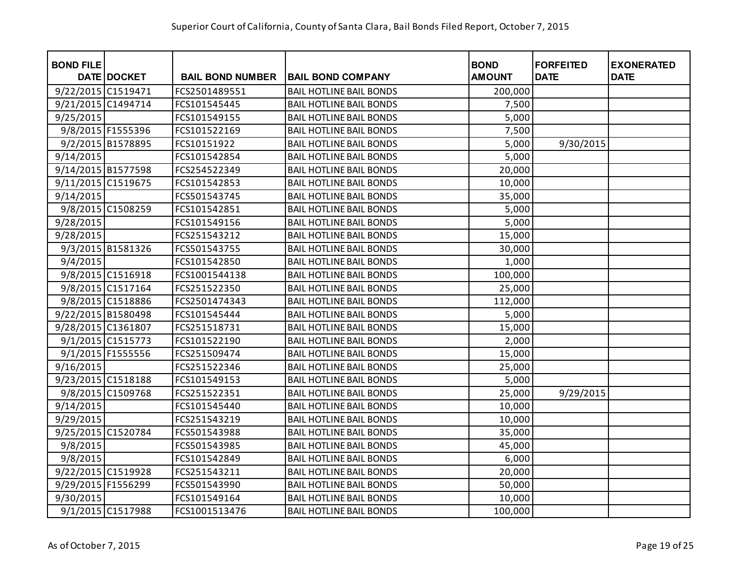| <b>BOND FILE</b>   |                   |                         |                                | <b>BOND</b>   | <b>FORFEITED</b> | <b>EXONERATED</b> |
|--------------------|-------------------|-------------------------|--------------------------------|---------------|------------------|-------------------|
|                    | DATE DOCKET       | <b>BAIL BOND NUMBER</b> | <b>BAIL BOND COMPANY</b>       | <b>AMOUNT</b> | <b>DATE</b>      | <b>DATE</b>       |
| 9/22/2015 C1519471 |                   | FCS2501489551           | <b>BAIL HOTLINE BAIL BONDS</b> | 200,000       |                  |                   |
| 9/21/2015 C1494714 |                   | FCS101545445            | <b>BAIL HOTLINE BAIL BONDS</b> | 7,500         |                  |                   |
| 9/25/2015          |                   | FCS101549155            | <b>BAIL HOTLINE BAIL BONDS</b> | 5,000         |                  |                   |
|                    | 9/8/2015 F1555396 | FCS101522169            | <b>BAIL HOTLINE BAIL BONDS</b> | 7,500         |                  |                   |
|                    | 9/2/2015 B1578895 | FCS10151922             | <b>BAIL HOTLINE BAIL BONDS</b> | 5,000         | 9/30/2015        |                   |
| 9/14/2015          |                   | FCS101542854            | <b>BAIL HOTLINE BAIL BONDS</b> | 5,000         |                  |                   |
| 9/14/2015 B1577598 |                   | FCS254522349            | <b>BAIL HOTLINE BAIL BONDS</b> | 20,000        |                  |                   |
| 9/11/2015 C1519675 |                   | FCS101542853            | <b>BAIL HOTLINE BAIL BONDS</b> | 10,000        |                  |                   |
| 9/14/2015          |                   | FCS501543745            | <b>BAIL HOTLINE BAIL BONDS</b> | 35,000        |                  |                   |
|                    | 9/8/2015 C1508259 | FCS101542851            | <b>BAIL HOTLINE BAIL BONDS</b> | 5,000         |                  |                   |
| 9/28/2015          |                   | FCS101549156            | <b>BAIL HOTLINE BAIL BONDS</b> | 5,000         |                  |                   |
| 9/28/2015          |                   | FCS251543212            | <b>BAIL HOTLINE BAIL BONDS</b> | 15,000        |                  |                   |
|                    | 9/3/2015 B1581326 | FCS501543755            | <b>BAIL HOTLINE BAIL BONDS</b> | 30,000        |                  |                   |
| 9/4/2015           |                   | FCS101542850            | <b>BAIL HOTLINE BAIL BONDS</b> | 1,000         |                  |                   |
|                    | 9/8/2015 C1516918 | FCS1001544138           | <b>BAIL HOTLINE BAIL BONDS</b> | 100,000       |                  |                   |
|                    | 9/8/2015 C1517164 | FCS251522350            | <b>BAIL HOTLINE BAIL BONDS</b> | 25,000        |                  |                   |
|                    | 9/8/2015 C1518886 | FCS2501474343           | <b>BAIL HOTLINE BAIL BONDS</b> | 112,000       |                  |                   |
| 9/22/2015 B1580498 |                   | FCS101545444            | <b>BAIL HOTLINE BAIL BONDS</b> | 5,000         |                  |                   |
| 9/28/2015 C1361807 |                   | FCS251518731            | <b>BAIL HOTLINE BAIL BONDS</b> | 15,000        |                  |                   |
|                    | 9/1/2015 C1515773 | FCS101522190            | <b>BAIL HOTLINE BAIL BONDS</b> | 2,000         |                  |                   |
|                    | 9/1/2015 F1555556 | FCS251509474            | <b>BAIL HOTLINE BAIL BONDS</b> | 15,000        |                  |                   |
| 9/16/2015          |                   | FCS251522346            | <b>BAIL HOTLINE BAIL BONDS</b> | 25,000        |                  |                   |
| 9/23/2015 C1518188 |                   | FCS101549153            | <b>BAIL HOTLINE BAIL BONDS</b> | 5,000         |                  |                   |
|                    | 9/8/2015 C1509768 | FCS251522351            | <b>BAIL HOTLINE BAIL BONDS</b> | 25,000        | 9/29/2015        |                   |
| 9/14/2015          |                   | FCS101545440            | <b>BAIL HOTLINE BAIL BONDS</b> | 10,000        |                  |                   |
| 9/29/2015          |                   | FCS251543219            | <b>BAIL HOTLINE BAIL BONDS</b> | 10,000        |                  |                   |
| 9/25/2015 C1520784 |                   | FCS501543988            | <b>BAIL HOTLINE BAIL BONDS</b> | 35,000        |                  |                   |
| 9/8/2015           |                   | FCS501543985            | <b>BAIL HOTLINE BAIL BONDS</b> | 45,000        |                  |                   |
| 9/8/2015           |                   | FCS101542849            | <b>BAIL HOTLINE BAIL BONDS</b> | 6,000         |                  |                   |
| 9/22/2015 C1519928 |                   | FCS251543211            | <b>BAIL HOTLINE BAIL BONDS</b> | 20,000        |                  |                   |
| 9/29/2015 F1556299 |                   | FCS501543990            | <b>BAIL HOTLINE BAIL BONDS</b> | 50,000        |                  |                   |
| 9/30/2015          |                   | FCS101549164            | <b>BAIL HOTLINE BAIL BONDS</b> | 10,000        |                  |                   |
|                    | 9/1/2015 C1517988 | FCS1001513476           | <b>BAIL HOTLINE BAIL BONDS</b> | 100,000       |                  |                   |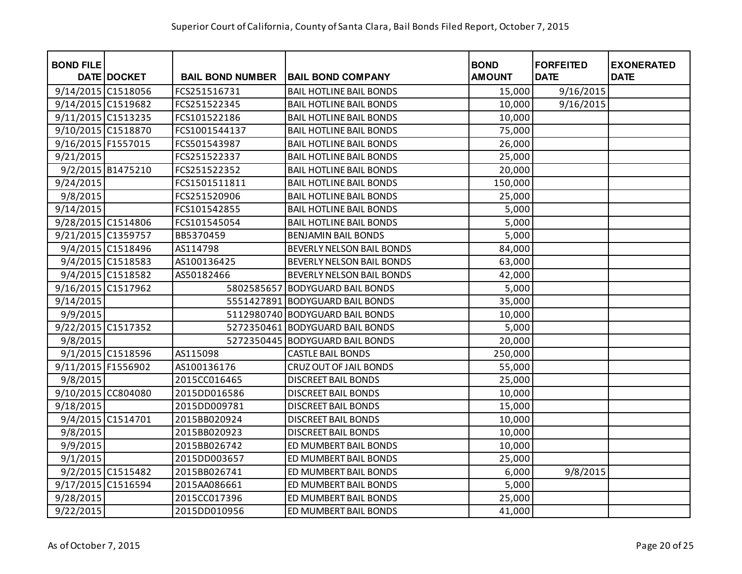| <b>BOND FILE</b>   | DATE DOCKET       | <b>BAIL BOND NUMBER</b> | <b>BAIL BOND COMPANY</b>         | <b>BOND</b><br><b>AMOUNT</b> | <b>FORFEITED</b><br><b>DATE</b> | <b>EXONERATED</b><br><b>DATE</b> |
|--------------------|-------------------|-------------------------|----------------------------------|------------------------------|---------------------------------|----------------------------------|
| 9/14/2015 C1518056 |                   | FCS251516731            | <b>BAIL HOTLINE BAIL BONDS</b>   | 15,000                       | 9/16/2015                       |                                  |
| 9/14/2015 C1519682 |                   | FCS251522345            | <b>BAIL HOTLINE BAIL BONDS</b>   | 10,000                       | 9/16/2015                       |                                  |
| 9/11/2015 C1513235 |                   | FCS101522186            | <b>BAIL HOTLINE BAIL BONDS</b>   | 10,000                       |                                 |                                  |
| 9/10/2015 C1518870 |                   | FCS1001544137           | <b>BAIL HOTLINE BAIL BONDS</b>   | 75,000                       |                                 |                                  |
| 9/16/2015 F1557015 |                   | FCS501543987            | <b>BAIL HOTLINE BAIL BONDS</b>   | 26,000                       |                                 |                                  |
| 9/21/2015          |                   | FCS251522337            | <b>BAIL HOTLINE BAIL BONDS</b>   | 25,000                       |                                 |                                  |
|                    | 9/2/2015 B1475210 | FCS251522352            | <b>BAIL HOTLINE BAIL BONDS</b>   | 20,000                       |                                 |                                  |
| 9/24/2015          |                   | FCS1501511811           | <b>BAIL HOTLINE BAIL BONDS</b>   | 150,000                      |                                 |                                  |
| 9/8/2015           |                   | FCS251520906            | <b>BAIL HOTLINE BAIL BONDS</b>   | 25,000                       |                                 |                                  |
| 9/14/2015          |                   | FCS101542855            | <b>BAIL HOTLINE BAIL BONDS</b>   | 5,000                        |                                 |                                  |
| 9/28/2015 C1514806 |                   | FCS101545054            | <b>BAIL HOTLINE BAIL BONDS</b>   | 5,000                        |                                 |                                  |
| 9/21/2015 C1359757 |                   | BB5370459               | <b>BENJAMIN BAIL BONDS</b>       | 5,000                        |                                 |                                  |
|                    | 9/4/2015 C1518496 | AS114798                | <b>BEVERLY NELSON BAIL BONDS</b> | 84,000                       |                                 |                                  |
|                    | 9/4/2015 C1518583 | AS100136425             | <b>BEVERLY NELSON BAIL BONDS</b> | 63,000                       |                                 |                                  |
|                    | 9/4/2015 C1518582 | AS50182466              | BEVERLY NELSON BAIL BONDS        | 42,000                       |                                 |                                  |
| 9/16/2015 C1517962 |                   | 5802585657              | <b>BODYGUARD BAIL BONDS</b>      | 5,000                        |                                 |                                  |
| 9/14/2015          |                   |                         | 5551427891 BODYGUARD BAIL BONDS  | 35,000                       |                                 |                                  |
| 9/9/2015           |                   |                         | 5112980740 BODYGUARD BAIL BONDS  | 10,000                       |                                 |                                  |
| 9/22/2015 C1517352 |                   |                         | 5272350461 BODYGUARD BAIL BONDS  | 5,000                        |                                 |                                  |
| 9/8/2015           |                   |                         | 5272350445 BODYGUARD BAIL BONDS  | 20,000                       |                                 |                                  |
|                    | 9/1/2015 C1518596 | AS115098                | <b>CASTLE BAIL BONDS</b>         | 250,000                      |                                 |                                  |
| 9/11/2015 F1556902 |                   | AS100136176             | <b>CRUZ OUT OF JAIL BONDS</b>    | 55,000                       |                                 |                                  |
| 9/8/2015           |                   | 2015CC016465            | <b>DISCREET BAIL BONDS</b>       | 25,000                       |                                 |                                  |
| 9/10/2015 CC804080 |                   | 2015DD016586            | <b>DISCREET BAIL BONDS</b>       | 10,000                       |                                 |                                  |
| 9/18/2015          |                   | 2015DD009781            | <b>DISCREET BAIL BONDS</b>       | 15,000                       |                                 |                                  |
|                    | 9/4/2015 C1514701 | 2015BB020924            | <b>DISCREET BAIL BONDS</b>       | 10,000                       |                                 |                                  |
| 9/8/2015           |                   | 2015BB020923            | <b>DISCREET BAIL BONDS</b>       | 10,000                       |                                 |                                  |
| 9/9/2015           |                   | 2015BB026742            | ED MUMBERT BAIL BONDS            | 10,000                       |                                 |                                  |
| 9/1/2015           |                   | 2015DD003657            | ED MUMBERT BAIL BONDS            | 25,000                       |                                 |                                  |
|                    | 9/2/2015 C1515482 | 2015BB026741            | ED MUMBERT BAIL BONDS            | 6,000                        | 9/8/2015                        |                                  |
| 9/17/2015 C1516594 |                   | 2015AA086661            | ED MUMBERT BAIL BONDS            | 5,000                        |                                 |                                  |
| 9/28/2015          |                   | 2015CC017396            | ED MUMBERT BAIL BONDS            | 25,000                       |                                 |                                  |
| 9/22/2015          |                   | 2015DD010956            | ED MUMBERT BAIL BONDS            | 41,000                       |                                 |                                  |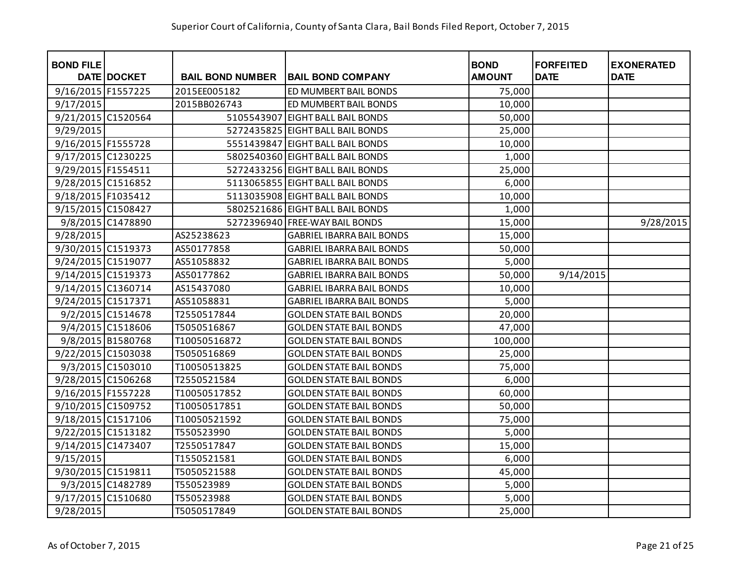| <b>BOND FILE</b>     | <b>DATE DOCKET</b> | <b>BAIL BOND NUMBER</b> | <b>BAIL BOND COMPANY</b>         | <b>BOND</b><br><b>AMOUNT</b> | <b>FORFEITED</b><br><b>DATE</b> | <b>EXONERATED</b><br><b>DATE</b> |
|----------------------|--------------------|-------------------------|----------------------------------|------------------------------|---------------------------------|----------------------------------|
| 9/16/2015 F1557225   |                    | 2015EE005182            | ED MUMBERT BAIL BONDS            | 75,000                       |                                 |                                  |
| 9/17/2015            |                    | 2015BB026743            | ED MUMBERT BAIL BONDS            | 10,000                       |                                 |                                  |
| 9/21/2015 C1520564   |                    | 5105543907              | <b>EIGHT BALL BAIL BONDS</b>     | 50,000                       |                                 |                                  |
| 9/29/2015            |                    |                         | 5272435825 EIGHT BALL BAIL BONDS | 25,000                       |                                 |                                  |
| 9/16/2015 F1555728   |                    |                         | 5551439847 EIGHT BALL BAIL BONDS | 10,000                       |                                 |                                  |
| 9/17/2015 C1230225   |                    |                         | 5802540360 EIGHT BALL BAIL BONDS | 1,000                        |                                 |                                  |
| 9/29/2015   F1554511 |                    |                         | 5272433256 EIGHT BALL BAIL BONDS | 25,000                       |                                 |                                  |
| 9/28/2015 C1516852   |                    |                         | 5113065855 EIGHT BALL BAIL BONDS | 6,000                        |                                 |                                  |
| 9/18/2015 F1035412   |                    |                         | 5113035908 EIGHT BALL BAIL BONDS | 10,000                       |                                 |                                  |
| 9/15/2015 C1508427   |                    |                         | 5802521686 EIGHT BALL BAIL BONDS | 1,000                        |                                 |                                  |
|                      | 9/8/2015 C1478890  |                         | 5272396940 FREE-WAY BAIL BONDS   | 15,000                       |                                 | 9/28/2015                        |
| 9/28/2015            |                    | AS25238623              | <b>GABRIEL IBARRA BAIL BONDS</b> | 15,000                       |                                 |                                  |
| 9/30/2015 C1519373   |                    | AS50177858              | <b>GABRIEL IBARRA BAIL BONDS</b> | 50,000                       |                                 |                                  |
| 9/24/2015 C1519077   |                    | AS51058832              | <b>GABRIEL IBARRA BAIL BONDS</b> | 5,000                        |                                 |                                  |
| 9/14/2015 C1519373   |                    | AS50177862              | <b>GABRIEL IBARRA BAIL BONDS</b> | 50,000                       | 9/14/2015                       |                                  |
| 9/14/2015 C1360714   |                    | AS15437080              | <b>GABRIEL IBARRA BAIL BONDS</b> | 10,000                       |                                 |                                  |
| 9/24/2015 C1517371   |                    | AS51058831              | <b>GABRIEL IBARRA BAIL BONDS</b> | 5,000                        |                                 |                                  |
|                      | 9/2/2015 C1514678  | T2550517844             | <b>GOLDEN STATE BAIL BONDS</b>   | 20,000                       |                                 |                                  |
|                      | 9/4/2015 C1518606  | T5050516867             | <b>GOLDEN STATE BAIL BONDS</b>   | 47,000                       |                                 |                                  |
|                      | 9/8/2015 B1580768  | T10050516872            | <b>GOLDEN STATE BAIL BONDS</b>   | 100,000                      |                                 |                                  |
| 9/22/2015 C1503038   |                    | T5050516869             | <b>GOLDEN STATE BAIL BONDS</b>   | 25,000                       |                                 |                                  |
|                      | 9/3/2015 C1503010  | T10050513825            | <b>GOLDEN STATE BAIL BONDS</b>   | 75,000                       |                                 |                                  |
| 9/28/2015 C1506268   |                    | T2550521584             | <b>GOLDEN STATE BAIL BONDS</b>   | 6,000                        |                                 |                                  |
| 9/16/2015 F1557228   |                    | T10050517852            | <b>GOLDEN STATE BAIL BONDS</b>   | 60,000                       |                                 |                                  |
| 9/10/2015 C1509752   |                    | T10050517851            | <b>GOLDEN STATE BAIL BONDS</b>   | 50,000                       |                                 |                                  |
| 9/18/2015 C1517106   |                    | T10050521592            | <b>GOLDEN STATE BAIL BONDS</b>   | 75,000                       |                                 |                                  |
| 9/22/2015 C1513182   |                    | T550523990              | <b>GOLDEN STATE BAIL BONDS</b>   | 5,000                        |                                 |                                  |
| 9/14/2015 C1473407   |                    | T2550517847             | <b>GOLDEN STATE BAIL BONDS</b>   | 15,000                       |                                 |                                  |
| 9/15/2015            |                    | T1550521581             | <b>GOLDEN STATE BAIL BONDS</b>   | 6,000                        |                                 |                                  |
| 9/30/2015 C1519811   |                    | T5050521588             | <b>GOLDEN STATE BAIL BONDS</b>   | 45,000                       |                                 |                                  |
|                      | 9/3/2015 C1482789  | T550523989              | <b>GOLDEN STATE BAIL BONDS</b>   | 5,000                        |                                 |                                  |
| 9/17/2015 C1510680   |                    | T550523988              | <b>GOLDEN STATE BAIL BONDS</b>   | 5,000                        |                                 |                                  |
| 9/28/2015            |                    | T5050517849             | <b>GOLDEN STATE BAIL BONDS</b>   | 25,000                       |                                 |                                  |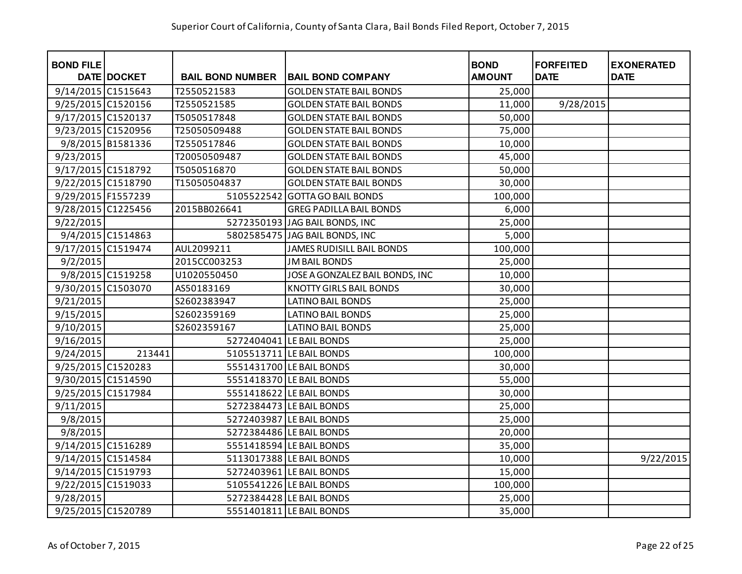| <b>BOND FILE</b>   | <b>DATE DOCKET</b> | <b>BAIL BOND NUMBER</b> | <b>BAIL BOND COMPANY</b>         | <b>BOND</b><br><b>AMOUNT</b> | <b>FORFEITED</b><br><b>DATE</b> | <b>EXONERATED</b><br><b>DATE</b> |
|--------------------|--------------------|-------------------------|----------------------------------|------------------------------|---------------------------------|----------------------------------|
| 9/14/2015 C1515643 |                    | T2550521583             | <b>GOLDEN STATE BAIL BONDS</b>   | 25,000                       |                                 |                                  |
| 9/25/2015 C1520156 |                    | T2550521585             | <b>GOLDEN STATE BAIL BONDS</b>   | 11,000                       | 9/28/2015                       |                                  |
| 9/17/2015 C1520137 |                    | T5050517848             | <b>GOLDEN STATE BAIL BONDS</b>   | 50,000                       |                                 |                                  |
| 9/23/2015 C1520956 |                    | T25050509488            | <b>GOLDEN STATE BAIL BONDS</b>   | 75,000                       |                                 |                                  |
|                    | 9/8/2015 B1581336  | T2550517846             | <b>GOLDEN STATE BAIL BONDS</b>   | 10,000                       |                                 |                                  |
| 9/23/2015          |                    | T20050509487            | <b>GOLDEN STATE BAIL BONDS</b>   | 45,000                       |                                 |                                  |
| 9/17/2015 C1518792 |                    | T5050516870             | <b>GOLDEN STATE BAIL BONDS</b>   | 50,000                       |                                 |                                  |
| 9/22/2015 C1518790 |                    | T15050504837            | <b>GOLDEN STATE BAIL BONDS</b>   | 30,000                       |                                 |                                  |
| 9/29/2015 F1557239 |                    | 5105522542              | <b>GOTTA GO BAIL BONDS</b>       | 100,000                      |                                 |                                  |
| 9/28/2015 C1225456 |                    | 2015BB026641            | <b>GREG PADILLA BAIL BONDS</b>   | 6,000                        |                                 |                                  |
| 9/22/2015          |                    |                         | 5272350193 JAG BAIL BONDS, INC   | 25,000                       |                                 |                                  |
|                    | 9/4/2015 C1514863  |                         | 5802585475 JAG BAIL BONDS, INC   | 5,000                        |                                 |                                  |
| 9/17/2015 C1519474 |                    | AUL2099211              | <b>JAMES RUDISILL BAIL BONDS</b> | 100,000                      |                                 |                                  |
| 9/2/2015           |                    | 2015CC003253            | <b>JM BAIL BONDS</b>             | 25,000                       |                                 |                                  |
|                    | 9/8/2015 C1519258  | U1020550450             | JOSE A GONZALEZ BAIL BONDS, INC  | 10,000                       |                                 |                                  |
| 9/30/2015 C1503070 |                    | AS50183169              | <b>KNOTTY GIRLS BAIL BONDS</b>   | 30,000                       |                                 |                                  |
| 9/21/2015          |                    | S2602383947             | <b>LATINO BAIL BONDS</b>         | 25,000                       |                                 |                                  |
| 9/15/2015          |                    | S2602359169             | <b>LATINO BAIL BONDS</b>         | 25,000                       |                                 |                                  |
| 9/10/2015          |                    | S2602359167             | <b>LATINO BAIL BONDS</b>         | 25,000                       |                                 |                                  |
| 9/16/2015          |                    |                         | 5272404041 LE BAIL BONDS         | 25,000                       |                                 |                                  |
| 9/24/2015          | 213441             |                         | 5105513711 LE BAIL BONDS         | 100,000                      |                                 |                                  |
| 9/25/2015 C1520283 |                    |                         | 5551431700 LE BAIL BONDS         | 30,000                       |                                 |                                  |
| 9/30/2015 C1514590 |                    |                         | 5551418370 LE BAIL BONDS         | 55,000                       |                                 |                                  |
| 9/25/2015 C1517984 |                    |                         | 5551418622 LE BAIL BONDS         | 30,000                       |                                 |                                  |
| 9/11/2015          |                    |                         | 5272384473 LE BAIL BONDS         | 25,000                       |                                 |                                  |
| 9/8/2015           |                    |                         | 5272403987 LE BAIL BONDS         | 25,000                       |                                 |                                  |
| 9/8/2015           |                    |                         | 5272384486 LE BAIL BONDS         | 20,000                       |                                 |                                  |
| 9/14/2015 C1516289 |                    |                         | 5551418594 LE BAIL BONDS         | 35,000                       |                                 |                                  |
| 9/14/2015 C1514584 |                    |                         | 5113017388 LE BAIL BONDS         | 10,000                       |                                 | 9/22/2015                        |
| 9/14/2015 C1519793 |                    |                         | 5272403961 LE BAIL BONDS         | 15,000                       |                                 |                                  |
| 9/22/2015 C1519033 |                    |                         | 5105541226 LE BAIL BONDS         | 100,000                      |                                 |                                  |
| 9/28/2015          |                    |                         | 5272384428 LE BAIL BONDS         | 25,000                       |                                 |                                  |
| 9/25/2015 C1520789 |                    |                         | 5551401811 LE BAIL BONDS         | 35,000                       |                                 |                                  |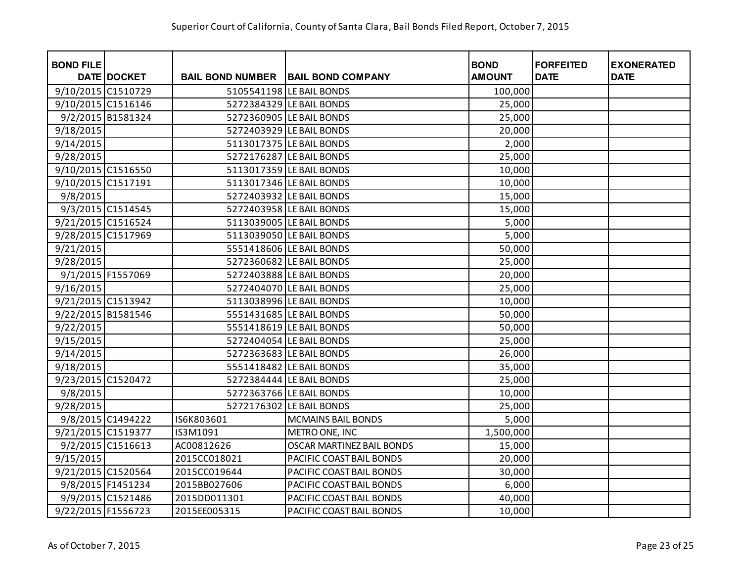| <b>BOND FILE</b>   | DATE DOCKET       |                         | <b>BAIL BOND COMPANY</b>  | <b>BOND</b><br><b>AMOUNT</b> | <b>FORFEITED</b><br><b>DATE</b> | <b>EXONERATED</b><br><b>DATE</b> |
|--------------------|-------------------|-------------------------|---------------------------|------------------------------|---------------------------------|----------------------------------|
|                    |                   | <b>BAIL BOND NUMBER</b> |                           |                              |                                 |                                  |
| 9/10/2015 C1510729 |                   |                         | 5105541198 LE BAIL BONDS  | 100,000                      |                                 |                                  |
| 9/10/2015 C1516146 |                   |                         | 5272384329 LE BAIL BONDS  | 25,000                       |                                 |                                  |
|                    | 9/2/2015 B1581324 |                         | 5272360905 LE BAIL BONDS  | 25,000                       |                                 |                                  |
| 9/18/2015          |                   |                         | 5272403929 LE BAIL BONDS  | 20,000                       |                                 |                                  |
| 9/14/2015          |                   |                         | 5113017375 LE BAIL BONDS  | 2,000                        |                                 |                                  |
| 9/28/2015          |                   |                         | 5272176287 LE BAIL BONDS  | 25,000                       |                                 |                                  |
| 9/10/2015 C1516550 |                   |                         | 5113017359 LE BAIL BONDS  | 10,000                       |                                 |                                  |
| 9/10/2015 C1517191 |                   |                         | 5113017346 LE BAIL BONDS  | 10,000                       |                                 |                                  |
| 9/8/2015           |                   |                         | 5272403932 LE BAIL BONDS  | 15,000                       |                                 |                                  |
|                    | 9/3/2015 C1514545 |                         | 5272403958 LE BAIL BONDS  | 15,000                       |                                 |                                  |
| 9/21/2015 C1516524 |                   |                         | 5113039005 LE BAIL BONDS  | 5,000                        |                                 |                                  |
| 9/28/2015 C1517969 |                   |                         | 5113039050 LE BAIL BONDS  | 5,000                        |                                 |                                  |
| 9/21/2015          |                   |                         | 5551418606 LE BAIL BONDS  | 50,000                       |                                 |                                  |
| 9/28/2015          |                   |                         | 5272360682 LE BAIL BONDS  | 25,000                       |                                 |                                  |
|                    | 9/1/2015 F1557069 |                         | 5272403888 LE BAIL BONDS  | 20,000                       |                                 |                                  |
| 9/16/2015          |                   |                         | 5272404070 LE BAIL BONDS  | 25,000                       |                                 |                                  |
| 9/21/2015 C1513942 |                   |                         | 5113038996 LE BAIL BONDS  | 10,000                       |                                 |                                  |
| 9/22/2015 B1581546 |                   |                         | 5551431685 LE BAIL BONDS  | 50,000                       |                                 |                                  |
| 9/22/2015          |                   |                         | 5551418619 LE BAIL BONDS  | 50,000                       |                                 |                                  |
| 9/15/2015          |                   |                         | 5272404054 LE BAIL BONDS  | 25,000                       |                                 |                                  |
| 9/14/2015          |                   |                         | 5272363683 LE BAIL BONDS  | 26,000                       |                                 |                                  |
| 9/18/2015          |                   |                         | 5551418482 LE BAIL BONDS  | 35,000                       |                                 |                                  |
| 9/23/2015 C1520472 |                   |                         | 5272384444 LE BAIL BONDS  | 25,000                       |                                 |                                  |
| 9/8/2015           |                   |                         | 5272363766 LE BAIL BONDS  | 10,000                       |                                 |                                  |
| 9/28/2015          |                   |                         | 5272176302 LE BAIL BONDS  | 25,000                       |                                 |                                  |
|                    | 9/8/2015 C1494222 | IS6K803601              | <b>MCMAINS BAIL BONDS</b> | 5,000                        |                                 |                                  |
| 9/21/2015 C1519377 |                   | IS3M1091                | METRO ONE, INC            | 1,500,000                    |                                 |                                  |
|                    | 9/2/2015 C1516613 | AC00812626              | OSCAR MARTINEZ BAIL BONDS | 15,000                       |                                 |                                  |
| 9/15/2015          |                   | 2015CC018021            | PACIFIC COAST BAIL BONDS  | 20,000                       |                                 |                                  |
| 9/21/2015 C1520564 |                   | 2015CC019644            | PACIFIC COAST BAIL BONDS  | 30,000                       |                                 |                                  |
|                    | 9/8/2015 F1451234 | 2015BB027606            | PACIFIC COAST BAIL BONDS  | 6,000                        |                                 |                                  |
|                    | 9/9/2015 C1521486 | 2015DD011301            | PACIFIC COAST BAIL BONDS  | 40,000                       |                                 |                                  |
| 9/22/2015 F1556723 |                   | 2015EE005315            | PACIFIC COAST BAIL BONDS  | 10,000                       |                                 |                                  |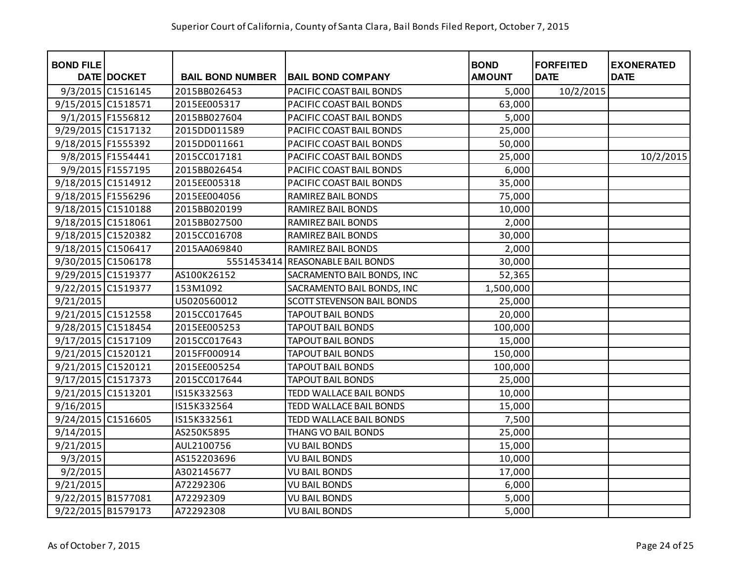| <b>BOND FILE</b>   | DATE DOCKET       | <b>BAIL BOND NUMBER</b> | <b>BAIL BOND COMPANY</b>          | <b>BOND</b><br><b>AMOUNT</b> | <b>FORFEITED</b><br><b>DATE</b> | <b>EXONERATED</b><br><b>DATE</b> |
|--------------------|-------------------|-------------------------|-----------------------------------|------------------------------|---------------------------------|----------------------------------|
|                    | 9/3/2015 C1516145 | 2015BB026453            | PACIFIC COAST BAIL BONDS          | 5,000                        | 10/2/2015                       |                                  |
| 9/15/2015 C1518571 |                   | 2015EE005317            | PACIFIC COAST BAIL BONDS          | 63,000                       |                                 |                                  |
|                    | 9/1/2015 F1556812 | 2015BB027604            | PACIFIC COAST BAIL BONDS          | 5,000                        |                                 |                                  |
| 9/29/2015 C1517132 |                   | 2015DD011589            | PACIFIC COAST BAIL BONDS          | 25,000                       |                                 |                                  |
| 9/18/2015 F1555392 |                   | 2015DD011661            | PACIFIC COAST BAIL BONDS          |                              |                                 |                                  |
|                    | 9/8/2015 F1554441 | 2015CC017181            | PACIFIC COAST BAIL BONDS          | 50,000                       |                                 |                                  |
|                    |                   |                         |                                   | 25,000                       |                                 | 10/2/2015                        |
|                    | 9/9/2015 F1557195 | 2015BB026454            | PACIFIC COAST BAIL BONDS          | 6,000                        |                                 |                                  |
| 9/18/2015 C1514912 |                   | 2015EE005318            | PACIFIC COAST BAIL BONDS          | 35,000                       |                                 |                                  |
| 9/18/2015 F1556296 |                   | 2015EE004056            | RAMIREZ BAIL BONDS                | 75,000                       |                                 |                                  |
| 9/18/2015 C1510188 |                   | 2015BB020199            | RAMIREZ BAIL BONDS                | 10,000                       |                                 |                                  |
| 9/18/2015 C1518061 |                   | 2015BB027500            | RAMIREZ BAIL BONDS                | 2,000                        |                                 |                                  |
| 9/18/2015 C1520382 |                   | 2015CC016708            | RAMIREZ BAIL BONDS                | 30,000                       |                                 |                                  |
| 9/18/2015 C1506417 |                   | 2015AA069840            | RAMIREZ BAIL BONDS                | 2,000                        |                                 |                                  |
| 9/30/2015 C1506178 |                   | 5551453414              | <b>REASONABLE BAIL BONDS</b>      | 30,000                       |                                 |                                  |
| 9/29/2015 C1519377 |                   | AS100K26152             | SACRAMENTO BAIL BONDS, INC        | 52,365                       |                                 |                                  |
| 9/22/2015 C1519377 |                   | 153M1092                | SACRAMENTO BAIL BONDS, INC        | 1,500,000                    |                                 |                                  |
| 9/21/2015          |                   | U5020560012             | <b>SCOTT STEVENSON BAIL BONDS</b> | 25,000                       |                                 |                                  |
| 9/21/2015 C1512558 |                   | 2015CC017645            | <b>TAPOUT BAIL BONDS</b>          | 20,000                       |                                 |                                  |
| 9/28/2015 C1518454 |                   | 2015EE005253            | <b>TAPOUT BAIL BONDS</b>          | 100,000                      |                                 |                                  |
| 9/17/2015 C1517109 |                   | 2015CC017643            | <b>TAPOUT BAIL BONDS</b>          | 15,000                       |                                 |                                  |
| 9/21/2015 C1520121 |                   | 2015FF000914            | <b>TAPOUT BAIL BONDS</b>          | 150,000                      |                                 |                                  |
| 9/21/2015 C1520121 |                   | 2015EE005254            | <b>TAPOUT BAIL BONDS</b>          | 100,000                      |                                 |                                  |
| 9/17/2015 C1517373 |                   | 2015CC017644            | <b>TAPOUT BAIL BONDS</b>          | 25,000                       |                                 |                                  |
| 9/21/2015 C1513201 |                   | IS15K332563             | TEDD WALLACE BAIL BONDS           | 10,000                       |                                 |                                  |
| 9/16/2015          |                   | IS15K332564             | TEDD WALLACE BAIL BONDS           | 15,000                       |                                 |                                  |
| 9/24/2015 C1516605 |                   | IS15K332561             | TEDD WALLACE BAIL BONDS           | 7,500                        |                                 |                                  |
| 9/14/2015          |                   | AS250K5895              | THANG VO BAIL BONDS               | 25,000                       |                                 |                                  |
| 9/21/2015          |                   | AUL2100756              | <b>VU BAIL BONDS</b>              | 15,000                       |                                 |                                  |
| 9/3/2015           |                   | AS152203696             | <b>VU BAIL BONDS</b>              | 10,000                       |                                 |                                  |
| 9/2/2015           |                   | A302145677              | <b>VU BAIL BONDS</b>              | 17,000                       |                                 |                                  |
| 9/21/2015          |                   | A72292306               | <b>VU BAIL BONDS</b>              | 6,000                        |                                 |                                  |
| 9/22/2015 B1577081 |                   | A72292309               | <b>VU BAIL BONDS</b>              | 5,000                        |                                 |                                  |
| 9/22/2015 B1579173 |                   | A72292308               | <b>VU BAIL BONDS</b>              | 5,000                        |                                 |                                  |